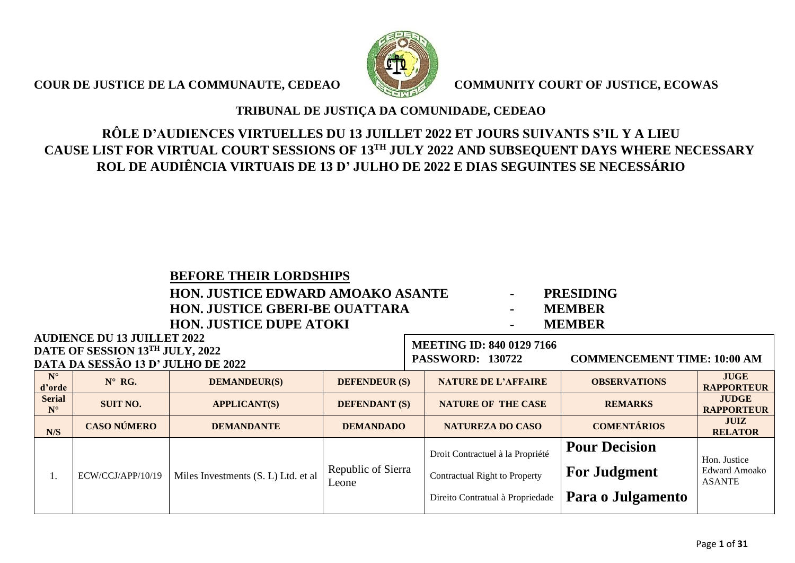**COUR DE JUSTICE DE LA COMMUNAUTE, CEDEAO COMMUNITY COURT OF JUSTICE, ECOWAS** 



### **TRIBUNAL DE JUSTIÇA DA COMUNIDADE, CEDEAO**

## **RÔLE D'AUDIENCES VIRTUELLES DU 13 JUILLET 2022 ET JOURS SUIVANTS S'IL Y A LIEU CAUSE LIST FOR VIRTUAL COURT SESSIONS OF 13 TH JULY 2022 AND SUBSEQUENT DAYS WHERE NECESSARY ROL DE AUDIÊNCIA VIRTUAIS DE 13 D' JULHO DE 2022 E DIAS SEGUINTES SE NECESSÁRIO**

### **BEFORE THEIR LORDSHIPS**

### **HON. JUSTICE EDWARD AMOAKO ASANTE - PRESIDING HON. JUSTICE GBERI-BE OUATTARA - MEMBER HON. JUSTICE DUPE ATOKI - MEMBER**

- 
- 
- 

**MEETING ID: 840 0129 7166**

# **AUDIENCE DU 13 JUILLET 2022 DATE OF SESSION 13TH JULY, 2022**

|                              | DATE OF SESSION 13 $JUL1, 2022$<br>DATA DA SESSÃO 13 D' JULHO DE 2022 |                                     |                             | <b>COMMENCEMENT TIME: 10:00 AM</b><br><b>PASSWORD: 130722</b> |                                                                                                              |                                                                  |                                                       |
|------------------------------|-----------------------------------------------------------------------|-------------------------------------|-----------------------------|---------------------------------------------------------------|--------------------------------------------------------------------------------------------------------------|------------------------------------------------------------------|-------------------------------------------------------|
| $N^{\circ}$<br>d'orde        | $N^{\circ}$ RG.                                                       | <b>DEMANDEUR(S)</b>                 | <b>DEFENDEUR (S)</b>        |                                                               | <b>NATURE DE L'AFFAIRE</b>                                                                                   | <b>OBSERVATIONS</b>                                              | <b>JUGE</b><br><b>RAPPORTEUR</b>                      |
| <b>Serial</b><br>$N^{\circ}$ | <b>SUIT NO.</b>                                                       | <b>APPLICANT(S)</b>                 | <b>DEFENDANT (S)</b>        |                                                               | <b>NATURE OF THE CASE</b>                                                                                    | <b>REMARKS</b>                                                   | <b>JUDGE</b><br><b>RAPPORTEUR</b>                     |
| N/S                          | <b>CASO NÚMERO</b><br><b>DEMANDANTE</b><br><b>DEMANDADO</b>           |                                     |                             | <b>NATUREZA DO CASO</b>                                       | <b>COMENTÁRIOS</b>                                                                                           | <b>JUIZ</b><br><b>RELATOR</b>                                    |                                                       |
| 1.                           | ECW/CCJ/APP/10/19                                                     | Miles Investments (S. L) Ltd. et al | Republic of Sierra<br>Leone |                                                               | Droit Contractuel à la Propriété<br><b>Contractual Right to Property</b><br>Direito Contratual à Propriedade | <b>Pour Decision</b><br><b>For Judgment</b><br>Para o Julgamento | Hon. Justice<br><b>Edward Amoako</b><br><b>ASANTE</b> |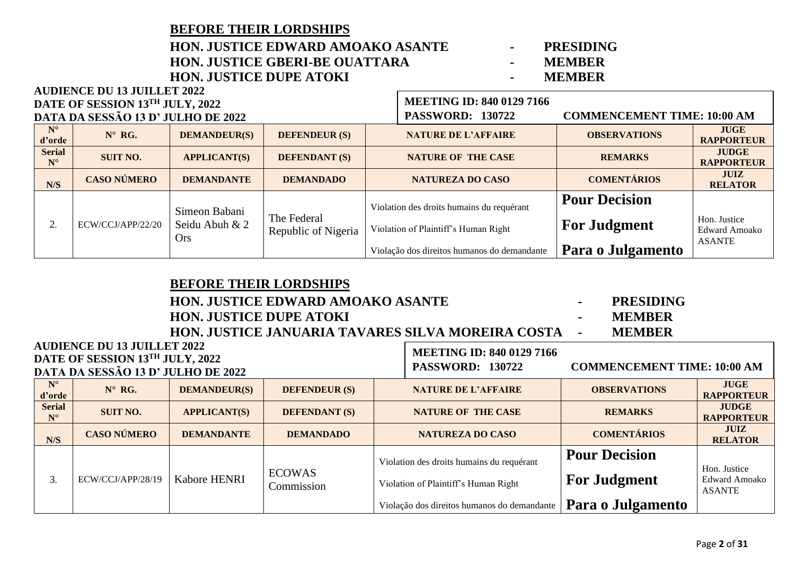**AUDIENCE DU 13 JUILLET 2022**

### **HON. JUSTICE EDWARD AMOAKO ASANTE - PRESIDING HON. JUSTICE GBERI-BE OUATTARA - MEMBER HON. JUSTICE DUPE ATOKI -**

- 
- 
- 

|                              | DATE OF SESSION 13TH JULY, 2022    |                                               |                                    | <b>MEETING ID: 840 0129 7166</b>            |                                             |                                      |  |
|------------------------------|------------------------------------|-----------------------------------------------|------------------------------------|---------------------------------------------|---------------------------------------------|--------------------------------------|--|
|                              | DATA DA SESSÃO 13 D' JULHO DE 2022 |                                               |                                    | <b>PASSWORD: 130722</b>                     | <b>COMMENCEMENT TIME: 10:00 AM</b>          |                                      |  |
| $N^{\circ}$<br>d'orde        | $N^{\circ}$ RG.                    | <b>DEMANDEUR(S)</b>                           | <b>DEFENDEUR (S)</b>               | <b>NATURE DE L'AFFAIRE</b>                  | <b>OBSERVATIONS</b>                         | <b>JUGE</b><br><b>RAPPORTEUR</b>     |  |
| <b>Serial</b><br>$N^{\circ}$ | <b>SUIT NO.</b>                    | <b>APPLICANT(S)</b>                           | <b>DEFENDANT (S)</b>               | <b>NATURE OF THE CASE</b>                   | <b>REMARKS</b>                              | <b>JUDGE</b><br><b>RAPPORTEUR</b>    |  |
| N/S                          | <b>CASO NÚMERO</b>                 | <b>DEMANDANTE</b>                             | <b>DEMANDADO</b>                   | <b>NATUREZA DO CASO</b>                     | <b>COMENTÁRIOS</b>                          | JUIZ<br><b>RELATOR</b>               |  |
|                              | ECW/CCJ/APP/22/20                  | Simeon Babani<br>Seidu Abuh & 2<br><b>Ors</b> | The Federal<br>Republic of Nigeria | Violation des droits humains du requérant   | <b>Pour Decision</b><br><b>For Judgment</b> |                                      |  |
|                              |                                    |                                               |                                    | Violation of Plaintiff's Human Right        |                                             | Hon. Justice<br><b>Edward Amoako</b> |  |
|                              |                                    |                                               |                                    | Violação dos direitos humanos do demandante | Para o Julgamento                           | <b>ASANTE</b>                        |  |

 $\blacksquare$ 

|                              | <b>BEFORE THEIR LORDSHIPS</b><br><b>HON. JUSTICE EDWARD AMOAKO ASANTE</b><br><b>PRESIDING</b><br>$\blacksquare$<br><b>HON. JUSTICE DUPE ATOKI</b><br><b>MEMBER</b><br>۰<br>HON. JUSTICE JANUARIA TAVARES SILVA MOREIRA COSTA<br><b>MEMBER</b><br>$\blacksquare$ |                     |                             |                            |                                                                                   |                                             |                                                       |  |  |
|------------------------------|-----------------------------------------------------------------------------------------------------------------------------------------------------------------------------------------------------------------------------------------------------------------|---------------------|-----------------------------|----------------------------|-----------------------------------------------------------------------------------|---------------------------------------------|-------------------------------------------------------|--|--|
|                              | <b>AUDIENCE DU 13 JUILLET 2022</b><br><b>DATE OF SESSION 13TH JULY, 2022</b>                                                                                                                                                                                    |                     |                             |                            | <b>MEETING ID: 840 0129 7166</b>                                                  |                                             |                                                       |  |  |
|                              | <b>DATA DA SESSÃO 13 D' JULHO DE 2022</b>                                                                                                                                                                                                                       |                     |                             |                            | <b>PASSWORD: 130722</b>                                                           | <b>COMMENCEMENT TIME: 10:00 AM</b>          |                                                       |  |  |
| $N^{\circ}$<br>d'orde        | $N^{\circ}$ RG.                                                                                                                                                                                                                                                 | <b>DEMANDEUR(S)</b> | <b>DEFENDEUR (S)</b>        | <b>NATURE DE L'AFFAIRE</b> |                                                                                   | <b>OBSERVATIONS</b>                         | <b>JUGE</b><br><b>RAPPORTEUR</b>                      |  |  |
| <b>Serial</b><br>$N^{\circ}$ | <b>SUIT NO.</b>                                                                                                                                                                                                                                                 | <b>APPLICANT(S)</b> | <b>DEFENDANT (S)</b>        |                            | <b>NATURE OF THE CASE</b>                                                         | <b>REMARKS</b>                              | <b>JUDGE</b><br><b>RAPPORTEUR</b>                     |  |  |
| N/S                          | <b>CASO NÚMERO</b>                                                                                                                                                                                                                                              | <b>DEMANDANTE</b>   | <b>DEMANDADO</b>            |                            | <b>NATUREZA DO CASO</b>                                                           | <b>COMENTÁRIOS</b>                          | <b>JUIZ</b><br><b>RELATOR</b>                         |  |  |
| 3.                           | ECW/CCJ/APP/28/19                                                                                                                                                                                                                                               | <b>Kabore HENRI</b> | <b>ECOWAS</b><br>Commission |                            | Violation des droits humains du requérant<br>Violation of Plaintiff's Human Right | <b>Pour Decision</b><br><b>For Judgment</b> | Hon. Justice<br><b>Edward Amoako</b><br><b>ASANTE</b> |  |  |
|                              |                                                                                                                                                                                                                                                                 |                     |                             |                            | Violação dos direitos humanos do demandante                                       | Para o Julgamento                           |                                                       |  |  |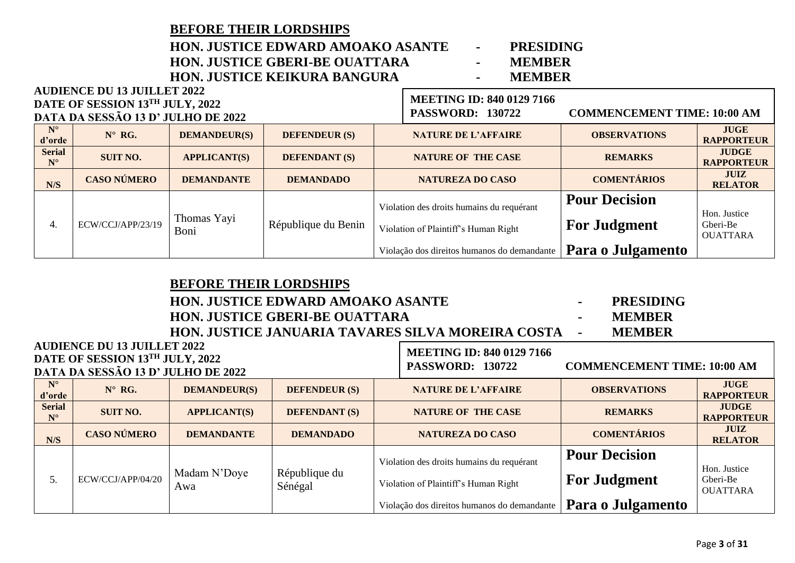|                              | <b>BEFORE THEIR LORDSHIPS</b><br><b>HON. JUSTICE EDWARD AMOAKO ASANTE</b><br><b>PRESIDING</b><br>$\blacksquare$<br><b>HON. JUSTICE GBERI-BE OUATTARA</b><br><b>MEMBER</b><br>$\blacksquare$<br>HON. JUSTICE KEIKURA BANGURA<br><b>MEMBER</b><br>$\sim$ |                     |                      |                                                                                   |                                             |                                             |  |  |  |  |
|------------------------------|--------------------------------------------------------------------------------------------------------------------------------------------------------------------------------------------------------------------------------------------------------|---------------------|----------------------|-----------------------------------------------------------------------------------|---------------------------------------------|---------------------------------------------|--|--|--|--|
|                              | <b>AUDIENCE DU 13 JUILLET 2022</b>                                                                                                                                                                                                                     |                     |                      | <b>MEETING ID: 840 0129 7166</b>                                                  |                                             |                                             |  |  |  |  |
|                              | DATE OF SESSION 13TH JULY, 2022<br>DATA DA SESSÃO 13 D' JULHO DE 2022                                                                                                                                                                                  |                     |                      | <b>PASSWORD: 130722</b>                                                           | <b>COMMENCEMENT TIME: 10:00 AM</b>          |                                             |  |  |  |  |
| $N^{\circ}$<br>d'orde        | $N^{\circ}$ RG.                                                                                                                                                                                                                                        | <b>DEMANDEUR(S)</b> | <b>DEFENDEUR (S)</b> | <b>NATURE DE L'AFFAIRE</b>                                                        | <b>OBSERVATIONS</b>                         | <b>JUGE</b><br><b>RAPPORTEUR</b>            |  |  |  |  |
| <b>Serial</b><br>$N^{\circ}$ | <b>SUIT NO.</b>                                                                                                                                                                                                                                        | <b>APPLICANT(S)</b> | <b>DEFENDANT (S)</b> | <b>NATURE OF THE CASE</b>                                                         | <b>REMARKS</b>                              | <b>JUDGE</b><br><b>RAPPORTEUR</b>           |  |  |  |  |
| N/S                          | <b>CASO NÚMERO</b>                                                                                                                                                                                                                                     | <b>DEMANDANTE</b>   | <b>DEMANDADO</b>     | <b>NATUREZA DO CASO</b>                                                           | <b>COMENTÁRIOS</b>                          | <b>JUIZ</b><br><b>RELATOR</b>               |  |  |  |  |
| 4.                           | ECW/CCJ/APP/23/19                                                                                                                                                                                                                                      | Thomas Yayi<br>Boni | République du Benin  | Violation des droits humains du requérant<br>Violation of Plaintiff's Human Right | <b>Pour Decision</b><br><b>For Judgment</b> | Hon. Justice<br>Gberi-Be<br><b>OUATTARA</b> |  |  |  |  |
|                              |                                                                                                                                                                                                                                                        |                     |                      | Violação dos direitos humanos do demandante                                       | Para o Julgamento                           |                                             |  |  |  |  |

|                              | <b>BEFORE THEIR LORDSHIPS</b>                                         |                                          |                          |                                                   |                                    |                                   |  |  |  |  |  |
|------------------------------|-----------------------------------------------------------------------|------------------------------------------|--------------------------|---------------------------------------------------|------------------------------------|-----------------------------------|--|--|--|--|--|
|                              |                                                                       | <b>HON. JUSTICE EDWARD AMOAKO ASANTE</b> |                          |                                                   | <b>PRESIDING</b>                   |                                   |  |  |  |  |  |
|                              |                                                                       | <b>HON. JUSTICE GBERI-BE OUATTARA</b>    |                          |                                                   | <b>MEMBER</b><br>۰.                |                                   |  |  |  |  |  |
|                              |                                                                       |                                          |                          | HON. JUSTICE JANUARIA TAVARES SILVA MOREIRA COSTA | <b>MEMBER</b>                      |                                   |  |  |  |  |  |
|                              | <b>AUDIENCE DU 13 JUILLET 2022</b>                                    |                                          |                          | <b>MEETING ID: 840 0129 7166</b>                  |                                    |                                   |  |  |  |  |  |
|                              | DATE OF SESSION 13TH JULY, 2022<br>DATA DA SESSÃO 13 D' JULHO DE 2022 |                                          |                          | <b>PASSWORD: 130722</b>                           | <b>COMMENCEMENT TIME: 10:00 AM</b> |                                   |  |  |  |  |  |
| $N^{\circ}$<br>d'orde        | $N^{\circ}$ RG.                                                       | <b>DEMANDEUR(S)</b>                      | <b>DEFENDEUR (S)</b>     | <b>NATURE DE L'AFFAIRE</b>                        | <b>OBSERVATIONS</b>                | <b>JUGE</b><br><b>RAPPORTEUR</b>  |  |  |  |  |  |
| <b>Serial</b><br>$N^{\circ}$ | <b>SUIT NO.</b>                                                       | <b>APPLICANT(S)</b>                      | <b>DEFENDANT (S)</b>     | <b>NATURE OF THE CASE</b>                         | <b>REMARKS</b>                     | <b>JUDGE</b><br><b>RAPPORTEUR</b> |  |  |  |  |  |
| N/S                          | <b>CASO NÚMERO</b>                                                    | <b>DEMANDANTE</b>                        | <b>DEMANDADO</b>         | <b>NATUREZA DO CASO</b>                           | <b>COMENTÁRIOS</b>                 | <b>JUIZ</b><br><b>RELATOR</b>     |  |  |  |  |  |
|                              |                                                                       | Madam N'Doye<br>Awa                      |                          | Violation des droits humains du requérant         | <b>Pour Decision</b>               | Hon. Justice                      |  |  |  |  |  |
| 5.                           | ECW/CCJ/APP/04/20                                                     |                                          | République du<br>Sénégal | Violation of Plaintiff's Human Right              | <b>For Judgment</b>                | Gberi-Be<br><b>OUATTARA</b>       |  |  |  |  |  |
|                              |                                                                       |                                          |                          | Violação dos direitos humanos do demandante       | Para o Julgamento                  |                                   |  |  |  |  |  |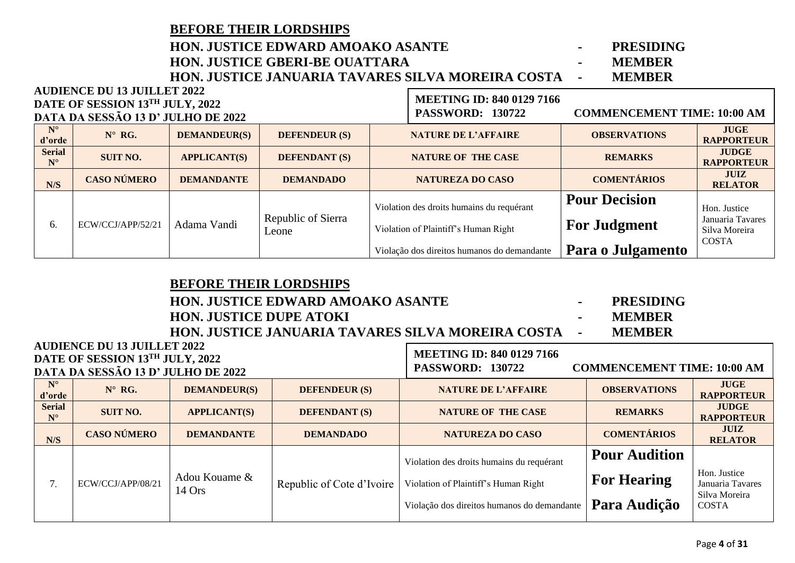### **BEFORE THEIR LORDSHIPS HON. JUSTICE EDWARD AMOAKO ASANTE - PRESIDING HON. JUSTICE GBERI-BE OUATTARA - MEMBER HON. JUSTICE JANUARIA TAVARES SILVA MOREIRA COSTA - MEMBER**

|                              | <b>AUDIENCE DU 13 JUILLET 2022</b><br>DATE OF SESSION 13TH JULY, 2022 |                     |                             | <b>MEETING ID: 840 0129 7166</b>            |                                    |                                   |  |
|------------------------------|-----------------------------------------------------------------------|---------------------|-----------------------------|---------------------------------------------|------------------------------------|-----------------------------------|--|
|                              | DATA DA SESSÃO 13 D' JULHO DE 2022                                    |                     |                             | <b>PASSWORD: 130722</b>                     | <b>COMMENCEMENT TIME: 10:00 AM</b> |                                   |  |
| $N^{\circ}$<br>d'orde        | $N^{\circ}$ RG.                                                       | <b>DEMANDEUR(S)</b> | <b>DEFENDEUR (S)</b>        | <b>NATURE DE L'AFFAIRE</b>                  | <b>OBSERVATIONS</b>                | <b>JUGE</b><br><b>RAPPORTEUR</b>  |  |
| <b>Serial</b><br>$N^{\circ}$ | <b>SUIT NO.</b>                                                       | <b>APPLICANT(S)</b> | <b>DEFENDANT (S)</b>        | <b>NATURE OF THE CASE</b>                   | <b>REMARKS</b>                     | <b>JUDGE</b><br><b>RAPPORTEUR</b> |  |
| N/S                          | <b>CASO NÚMERO</b>                                                    | <b>DEMANDANTE</b>   | <b>DEMANDADO</b>            | <b>NATUREZA DO CASO</b>                     | <b>COMENTÁRIOS</b>                 | JUIZ<br><b>RELATOR</b>            |  |
|                              | ECW/CCJ/APP/52/21                                                     | Adama Vandi         | Republic of Sierra<br>Leone | Violation des droits humains du requérant   | <b>Pour Decision</b>               | Hon. Justice                      |  |
| 6.                           |                                                                       |                     |                             | Violation of Plaintiff's Human Right        | <b>For Judgment</b>                | Januaria Tavares<br>Silva Moreira |  |
|                              |                                                                       |                     |                             | Violação dos direitos humanos do demandante | Para o Julgamento                  | <b>COSTA</b>                      |  |

| DEFONE THEIR LONDSHII S                                    |                                  |                  |
|------------------------------------------------------------|----------------------------------|------------------|
| <b>HON. JUSTICE EDWARD AMOAKO ASANTE</b>                   |                                  | <b>PRESIDING</b> |
| <b>HON. JUSTICE DUPE ATOKI</b>                             | <b>MEMBER</b>                    |                  |
| <b>HON. JUSTICE JANUARIA TAVARES SILVA MOREIRA COSTA -</b> |                                  | <b>MEMBER</b>    |
| LET 2022                                                   | <b>MEETING ID: 840 0129 7166</b> |                  |
| H 11 II V 2022                                             |                                  |                  |

### **AUDIENCE DU 13 JUIL DATE OF SESSION 13TH JULY, 2022 DATA DA SESSÃO 13 D' JULHO DE 2022**

**BEFORE THEIR LORDSHIPS**

**AUDIENCE DU 13 JUILLET 2022**

# **PASSWORD: 130722 COMMENCEMENT TIME: 10:00 AM**

**N° d'**orde **d'argeleries in the MANDEUR(S) DEFENDEUR** (S) **DEFENDEUR (S) NATURE DE L'AFFAIRE OBSERVATIONS RAPPORTI RAPPORTEUR Serial N° SUIT NO. APPLICANT(S) DEFENDANT (S) NATURE OF THE CASE REMARKS JUDGE RAPPORTEUR N/S CASO NÚMERO DEMANDANTE DEMANDADO NATUREZA DO CASO COMENTÁRIOS JUIZ RELATOR** 7. ECW/CCJ/APP/08/21 Adou Kouame & Republic of Cote d'Ivoire Violation des droits humains du requérant Violation of Plaintiff's Human Right Violação dos direitos humanos do demandante **Pour Audition For Hearing Para Audição** Hon. Justice Januaria Tavares Silva Moreira COSTA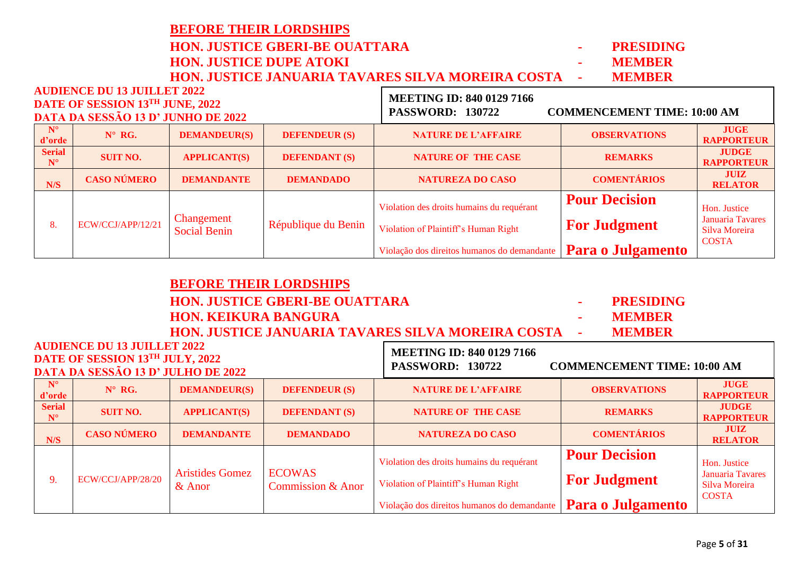|  |                              | <b>HON. JUSTICE JANUARIA TAVARES SILVA MOREIRA COSTA</b><br><b>MEMBER</b>                                   |                                   |                      |                                                                                                   |                      |                                   |  |  |  |  |  |  |
|--|------------------------------|-------------------------------------------------------------------------------------------------------------|-----------------------------------|----------------------|---------------------------------------------------------------------------------------------------|----------------------|-----------------------------------|--|--|--|--|--|--|
|  |                              | <b>AUDIENCE DU 13 JUILLET 2022</b><br>DATE OF SESSION 13TH JUNE, 2022<br>DATA DA SESSÃO 13 D' JUNHO DE 2022 |                                   |                      | <b>MEETING ID: 840 0129 7166</b><br><b>PASSWORD: 130722</b><br><b>COMMENCEMENT TIME: 10:00 AM</b> |                      |                                   |  |  |  |  |  |  |
|  | $N^{\circ}$<br>d'orde        | $N^{\circ}$ RG.                                                                                             | <b>DEMANDEUR(S)</b>               | <b>DEFENDEUR (S)</b> | <b>NATURE DE L'AFFAIRE</b>                                                                        | <b>OBSERVATIONS</b>  | <b>JUGE</b><br><b>RAPPORTEUR</b>  |  |  |  |  |  |  |
|  | <b>Serial</b><br>$N^{\circ}$ | <b>SUIT NO.</b>                                                                                             | <b>APPLICANT(S)</b>               | <b>DEFENDANT (S)</b> | <b>NATURE OF THE CASE</b>                                                                         | <b>REMARKS</b>       | <b>JUDGE</b><br><b>RAPPORTEUR</b> |  |  |  |  |  |  |
|  | N/S                          | <b>CASO NÚMERO</b><br><b>DEMANDANTE</b>                                                                     |                                   | <b>DEMANDADO</b>     | <b>NATUREZA DO CASO</b>                                                                           | <b>COMENTÁRIOS</b>   | <b>JUIZ</b><br><b>RELATOR</b>     |  |  |  |  |  |  |
|  |                              | ECW/CCJ/APP/12/21                                                                                           | Changement<br><b>Social Benin</b> | République du Benin  | Violation des droits humains du requérant                                                         | <b>Pour Decision</b> | Hon. Justice                      |  |  |  |  |  |  |
|  | 8.                           |                                                                                                             |                                   |                      | Violation of Plaintiff's Human Right                                                              | <b>For Judgment</b>  | Januaria Tavares<br>Silva Moreira |  |  |  |  |  |  |
|  |                              |                                                                                                             |                                   |                      | Violação dos direitos humanos do demandante                                                       | Para o Julgamento    | <b>COSTA</b>                      |  |  |  |  |  |  |

|                                       |                                                                       | <b>BEFORE THEIR LORDSHIPS</b>                                                       |                                       |                                                   |                                    |                                   |
|---------------------------------------|-----------------------------------------------------------------------|-------------------------------------------------------------------------------------|---------------------------------------|---------------------------------------------------|------------------------------------|-----------------------------------|
|                                       |                                                                       |                                                                                     | <b>HON. JUSTICE GBERI-BE OUATTARA</b> |                                                   | <b>PRESIDING</b><br>$\sim$         |                                   |
|                                       |                                                                       | <b>HON. KEIKURA BANGURA</b>                                                         |                                       | <b>MEMBER</b>                                     |                                    |                                   |
|                                       |                                                                       |                                                                                     |                                       | HON. JUSTICE JANUARIA TAVARES SILVA MOREIRA COSTA | <b>MEMBER</b>                      |                                   |
|                                       | <b>AUDIENCE DU 13 JUILLET 2022</b>                                    |                                                                                     |                                       | <b>MEETING ID: 840 0129 7166</b>                  |                                    |                                   |
|                                       | DATE OF SESSION 13TH JULY, 2022<br>DATA DA SESSÃO 13 D' JULHO DE 2022 |                                                                                     |                                       | <b>PASSWORD: 130722</b>                           | <b>COMMENCEMENT TIME: 10:00 AM</b> |                                   |
|                                       |                                                                       |                                                                                     |                                       |                                                   |                                    |                                   |
| $N^{\circ}$<br>d'orde                 | $N^{\circ}$ RG.                                                       | <b>DEMANDEUR(S)</b>                                                                 | <b>DEFENDEUR (S)</b>                  | <b>NATURE DE L'AFFAIRE</b>                        | <b>OBSERVATIONS</b>                | <b>JUGE</b><br><b>RAPPORTEUR</b>  |
| <b>Serial</b><br>$\mathbf{N}^{\circ}$ | <b>SUIT NO.</b>                                                       | <b>APPLICANT(S)</b>                                                                 | <b>DEFENDANT (S)</b>                  | <b>NATURE OF THE CASE</b>                         | <b>REMARKS</b>                     | <b>JUDGE</b><br><b>RAPPORTEUR</b> |
| N/S                                   | <b>CASO NÚMERO</b>                                                    | <b>DEMANDANTE</b>                                                                   | <b>DEMANDADO</b>                      | <b>NATUREZA DO CASO</b>                           | <b>COMENTÁRIOS</b>                 | <b>JUIZ</b><br><b>RELATOR</b>     |
|                                       |                                                                       |                                                                                     |                                       | Violation des droits humains du requérant         | <b>Pour Decision</b>               | Hon. Justice                      |
| 9.                                    | ECW/CCJ/APP/28/20                                                     | <b>ECOWAS</b><br><b>Aristides Gomez</b><br><b>Commission &amp; Anor</b><br>$&$ Anor | Violation of Plaintiff's Human Right  | <b>For Judgment</b>                               | Januaria Tavares<br>Silva Moreira  |                                   |
|                                       |                                                                       |                                                                                     |                                       | Violação dos direitos humanos do demandante       | Para o Julgamento                  | <b>COSTA</b>                      |

## **BEFORE THEIR LORDSHIPS HON. JUSTICE GBERI-BE OUATTARA - PRESIDING**

**HON. JUSTICE DUPE ATOKI - MEMBER**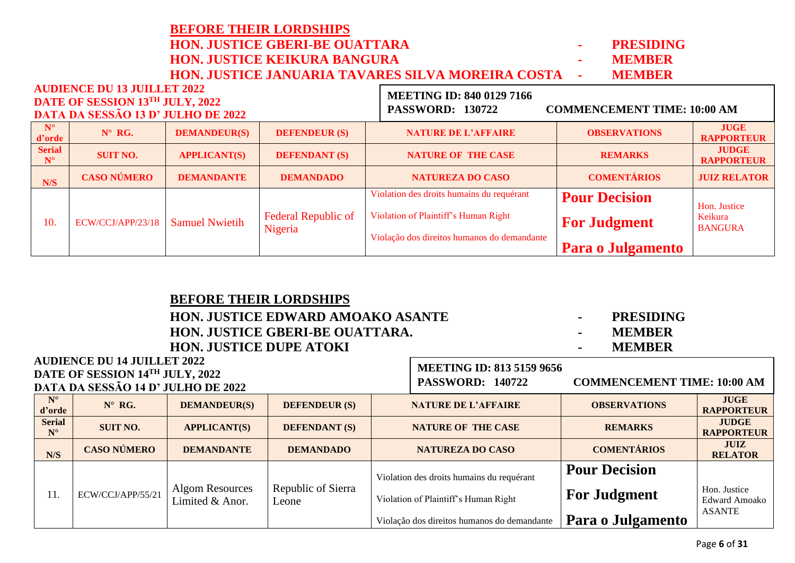|                              |                                                                                                             |                       | <b>HON. JUSTICE GBERI-BE OUATTARA</b> |                                                                                                   | <b>PRESIDING</b>     |                                   |
|------------------------------|-------------------------------------------------------------------------------------------------------------|-----------------------|---------------------------------------|---------------------------------------------------------------------------------------------------|----------------------|-----------------------------------|
|                              |                                                                                                             |                       | <b>HON. JUSTICE KEIKURA BANGURA</b>   |                                                                                                   | <b>MEMBER</b>        |                                   |
|                              |                                                                                                             |                       |                                       | HON. JUSTICE JANUARIA TAVARES SILVA MOREIRA COSTA                                                 | <b>MEMBER</b>        |                                   |
|                              | <b>AUDIENCE DU 13 JUILLET 2022</b><br>DATE OF SESSION 13TH JULY, 2022<br>DATA DA SESSÃO 13 D' JULHO DE 2022 |                       |                                       | <b>MEETING ID: 840 0129 7166</b><br><b>PASSWORD: 130722</b><br><b>COMMENCEMENT TIME: 10:00 AM</b> |                      |                                   |
| $N^{\circ}$<br>d'orde        | $N^{\circ}$ RG.                                                                                             | <b>DEMANDEUR(S)</b>   | <b>DEFENDEUR (S)</b>                  | <b>NATURE DE L'AFFAIRE</b>                                                                        | <b>OBSERVATIONS</b>  | <b>JUGE</b><br><b>RAPPORTEUR</b>  |
| <b>Serial</b><br>$N^{\circ}$ | <b>SUIT NO.</b>                                                                                             | <b>APPLICANT(S)</b>   | <b>DEFENDANT (S)</b>                  | <b>NATURE OF THE CASE</b>                                                                         | <b>REMARKS</b>       | <b>JUDGE</b><br><b>RAPPORTEUR</b> |
| N/S                          | <b>CASO NÚMERO</b>                                                                                          | <b>DEMANDANTE</b>     | <b>DEMANDADO</b>                      | <b>NATUREZA DO CASO</b>                                                                           | <b>COMENTÁRIOS</b>   | <b>JUIZ RELATOR</b>               |
|                              |                                                                                                             |                       |                                       | Violation des droits humains du requérant                                                         | <b>Pour Decision</b> | Hon. Justice                      |
| 10.                          | ECW/CCJ/APP/23/18                                                                                           | <b>Samuel Nwietih</b> | <b>Federal Republic of</b><br>Nigeria | Violation of Plaintiff's Human Right                                                              | <b>For Judgment</b>  | Keikura<br><b>BANGURA</b>         |
|                              |                                                                                                             |                       |                                       | .                                                                                                 |                      |                                   |

|                                                                                                |                       |                                                                                                             | <b>PRESIDING</b><br><b>MEMBER</b><br><b>MEMBER</b> |                      |                           |                                                             |                                    |                                  |
|------------------------------------------------------------------------------------------------|-----------------------|-------------------------------------------------------------------------------------------------------------|----------------------------------------------------|----------------------|---------------------------|-------------------------------------------------------------|------------------------------------|----------------------------------|
|                                                                                                |                       | <b>AUDIENCE DU 14 JUILLET 2022</b><br>DATE OF SESSION 14TH JULY, 2022<br>DATA DA SESSÃO 14 D' JULHO DE 2022 |                                                    |                      |                           | <b>MEETING ID: 813 5159 9656</b><br><b>PASSWORD: 140722</b> | <b>COMMENCEMENT TIME: 10:00 AM</b> |                                  |
|                                                                                                | $N^{\circ}$<br>d'orde | $N^{\circ}$ RG.                                                                                             | <b>DEMANDEUR(S)</b>                                | <b>DEFENDEUR (S)</b> |                           | <b>NATURE DE L'AFFAIRE</b>                                  | <b>OBSERVATIONS</b>                | <b>JUGE</b><br><b>RAPPORTEUR</b> |
| <b>Serial</b><br><b>SUIT NO.</b><br><b>DEFENDANT (S)</b><br><b>APPLICANT(S)</b><br>$N^{\circ}$ |                       |                                                                                                             |                                                    |                      | <b>NATURE OF THE CASE</b> | <b>REMARKS</b>                                              | <b>JUDGE</b><br><b>RAPPORTEUR</b>  |                                  |
| <b>CASO NÚMERO</b><br><b>DEMANDANTE</b><br><b>DEMANDADO</b><br><b>ATIC</b>                     |                       |                                                                                                             |                                                    |                      | <b>NATUREZA DO CASO</b>   | <b>COMENTÁRIOS</b>                                          | <b>JUIZ</b><br>DEL ATOD            |                                  |

Violação dos direitos humanos do demandante

| N/S | <b>CASO NÚMERO</b> | <b>DEMANDANTE</b>                  | <b>DEMANDADO</b>            | <b>NATUREZA DO CASO</b>                     | <b>COMENTÁRIOS</b>                          | <b>JUIZ</b><br><b>RELATOR</b> |
|-----|--------------------|------------------------------------|-----------------------------|---------------------------------------------|---------------------------------------------|-------------------------------|
| 11. | ECW/CCJ/APP/55/21  | Algom Resources<br>Limited & Anor. | Republic of Sierra<br>Leone | Violation des droits humains du requérant   | <b>Pour Decision</b><br><b>For Judgment</b> |                               |
|     |                    |                                    |                             | Violation of Plaintiff's Human Right        |                                             | Hon. Justice<br>Edward Amoako |
|     |                    |                                    |                             | Violação dos direitos humanos do demandante | Para o Julgamento                           | <b>ASANTE</b>                 |

**Para o Julgamento**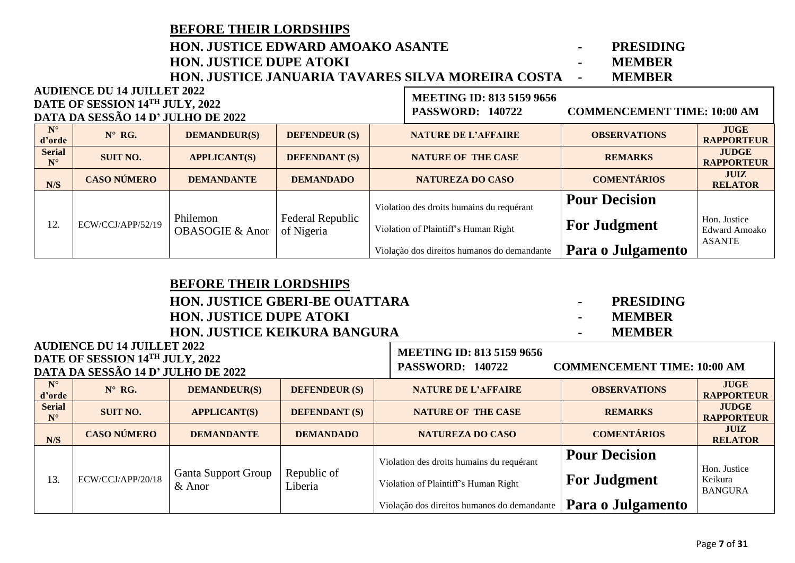|                              | <b>BEFORE THEIR LORDSHIPS</b>            |                                        |                                |  |                                                   |                                    |                                      |
|------------------------------|------------------------------------------|----------------------------------------|--------------------------------|--|---------------------------------------------------|------------------------------------|--------------------------------------|
|                              | <b>HON. JUSTICE EDWARD AMOAKO ASANTE</b> |                                        |                                |  |                                                   |                                    |                                      |
|                              |                                          | <b>HON. JUSTICE DUPE ATOKI</b>         |                                |  |                                                   | <b>MEMBER</b><br>$\blacksquare$    |                                      |
|                              |                                          |                                        |                                |  | HON. JUSTICE JANUARIA TAVARES SILVA MOREIRA COSTA | <b>MEMBER</b><br>$\blacksquare$    |                                      |
|                              | <b>AUDIENCE DU 14 JUILLET 2022</b>       |                                        |                                |  | <b>MEETING ID: 813 5159 9656</b>                  |                                    |                                      |
|                              | DATE OF SESSION 14TH JULY, 2022          |                                        |                                |  | <b>PASSWORD: 140722</b>                           | <b>COMMENCEMENT TIME: 10:00 AM</b> |                                      |
|                              | DATA DA SESSÃO 14 D' JULHO DE 2022       |                                        |                                |  |                                                   |                                    |                                      |
| $N^{\circ}$<br>d'orde        | $N^{\circ}$ RG.                          | <b>DEMANDEUR(S)</b>                    | <b>DEFENDEUR (S)</b>           |  | <b>NATURE DE L'AFFAIRE</b>                        | <b>OBSERVATIONS</b>                | <b>JUGE</b><br><b>RAPPORTEUR</b>     |
| <b>Serial</b><br>$N^{\circ}$ | <b>SUIT NO.</b>                          | <b>APPLICANT(S)</b>                    | <b>DEFENDANT (S)</b>           |  | <b>NATURE OF THE CASE</b>                         | <b>REMARKS</b>                     | <b>JUDGE</b><br><b>RAPPORTEUR</b>    |
| N/S                          | <b>CASO NÚMERO</b>                       | <b>DEMANDANTE</b>                      | <b>DEMANDADO</b>               |  | <b>NATUREZA DO CASO</b>                           | <b>COMENTÁRIOS</b>                 | <b>JUIZ</b><br><b>RELATOR</b>        |
|                              |                                          |                                        |                                |  | Violation des droits humains du requérant         | <b>Pour Decision</b>               |                                      |
| 12.                          | ECW/CCJ/APP/52/19                        | Philemon<br><b>OBASOGIE &amp; Anor</b> | Federal Republic<br>of Nigeria |  | Violation of Plaintiff's Human Right              | <b>For Judgment</b>                | Hon. Justice<br><b>Edward Amoako</b> |
|                              |                                          |                                        |                                |  | Violação dos direitos humanos do demandante       | Para o Julgamento                  | <b>ASANTE</b>                        |

| <b>BEFORE THEIR LORDSHIPS</b>                                         |                                                                                                                                                                                                              |               |                                                                                                                                    |
|-----------------------------------------------------------------------|--------------------------------------------------------------------------------------------------------------------------------------------------------------------------------------------------------------|---------------|------------------------------------------------------------------------------------------------------------------------------------|
| <b>HON. JUSTICE GBERI-BE OUATTARA</b>                                 |                                                                                                                                                                                                              | ۰             | <b>PRESIDING</b>                                                                                                                   |
| <b>HON. JUSTICE DUPE ATOKI</b>                                        | $\blacksquare$                                                                                                                                                                                               | <b>MEMBER</b> |                                                                                                                                    |
| <b>HON. JUSTICE KEIKURA BANGURA</b>                                   | ٠                                                                                                                                                                                                            | <b>MEMBER</b> |                                                                                                                                    |
| <b>AUDIENCE DU 14 JUILLET 2022</b><br>DATE OF SESSION 14TH JULY, 2022 | <b>MEETING ID: 813 5159 9656</b><br>$\mathbf{D}$ $\mathbf{A}$ $\mathbf{C}$ $\mathbf{C}$ $\mathbf{V}$ $\mathbf{D}$ $\mathbf{D}$ $\mathbf{D}$ $\mathbf{A}$ $\mathbf{A}$ $\mathbf{D}$ $\mathbf{A}$ $\mathbf{A}$ |               | $CQ$ and $CQ$ and $CQ$ and $CQ$ and $CQ$ and $CQ$ and $CQ$ and $CQ$ and $CQ$ and $CQ$ and $CQ$ and $CQ$ and $CQ$ and $CQ$ and $CQ$ |

**DATA DA SESSÃO 14 D' JULHO DE 2022 N° d'**orde **d'argeleries in the Manueur Demandeur (S) DEFENDEUR (S) NATURE DE L'AFFAIRE OBSERVATIONS RAPPORTI RAPPORTEUR Serial N° SUIT NO. APPLICANT(S) DEFENDANT (S) NATURE OF THE CASE REMARKS JUDGE RAPPORTEUR N/S CASO NÚMERO DEMANDANTE DEMANDADO NATUREZA DO CASO COMENTÁRIOS JUIZ RELATOR** 13. ECW/CCJ/APP/20/18 Ganta Support Group & Anor Republic of Liberia Violation des droits humains du requérant Violation of Plaintiff's Human Right Violação dos direitos humanos do demandante **Pour Decision For Judgment Para o Julgamento** Hon. Justice Keikura BANGURA **PASSWORD: 140722 COMMENCEMENT TIME: 10:00 AM**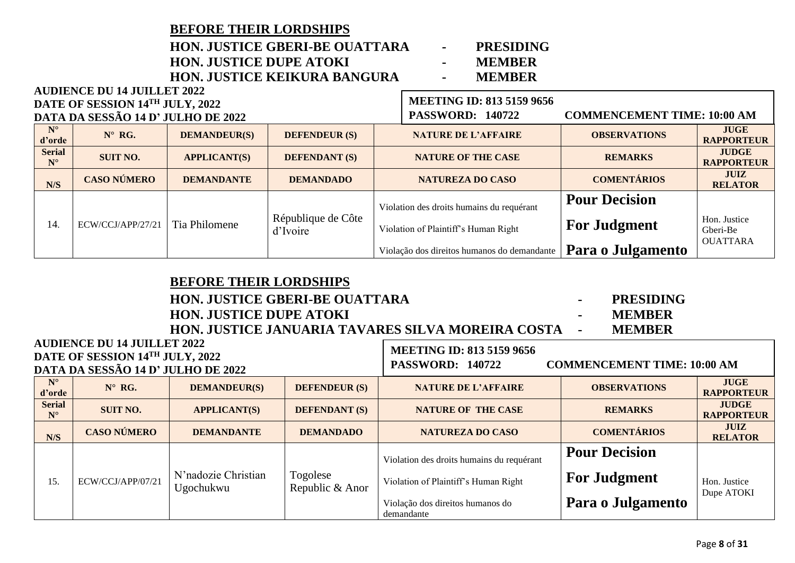| <b>BEFORE THEIR LORDSHIPS</b>         |                          |               |
|---------------------------------------|--------------------------|---------------|
| <b>HON. JUSTICE GBERI-BE OUATTARA</b> | <b>Contract Contract</b> | PRESIDIN      |
| <b>HON. JUSTICE DUPE ATOKI</b>        |                          | <b>MEMBER</b> |
| <b>HON. JUSTICE KEIKURA BANGURA</b>   | $\sim$                   | <b>MEMBER</b> |
| AUDIENCE DU 14 JUILLET 2022           |                          |               |

| <b>PRESIDING</b> |
|------------------|
| <b>MEMBER</b>    |
|                  |

| DATE OF SESSION 14TH JULY, 2022 |                                    |                     |                                | <b>MEETING ID: 813 5159 9656</b> |                                             |                                    |                                             |
|---------------------------------|------------------------------------|---------------------|--------------------------------|----------------------------------|---------------------------------------------|------------------------------------|---------------------------------------------|
|                                 | DATA DA SESSÃO 14 D' JULHO DE 2022 |                     |                                |                                  | <b>PASSWORD: 140722</b>                     | <b>COMMENCEMENT TIME: 10:00 AM</b> |                                             |
| $N^{\circ}$<br>d'orde           | $N^{\circ}$ RG.                    | <b>DEMANDEUR(S)</b> | <b>DEFENDEUR (S)</b>           |                                  | <b>NATURE DE L'AFFAIRE</b>                  | <b>OBSERVATIONS</b>                | <b>JUGE</b><br><b>RAPPORTEUR</b>            |
| <b>Serial</b><br>$N^{\circ}$    | <b>SUIT NO.</b>                    | <b>APPLICANT(S)</b> | <b>DEFENDANT (S)</b>           |                                  | <b>NATURE OF THE CASE</b>                   | <b>REMARKS</b>                     | <b>JUDGE</b><br><b>RAPPORTEUR</b>           |
| N/S                             | <b>CASO NÚMERO</b>                 | <b>DEMANDANTE</b>   | <b>DEMANDADO</b>               |                                  | <b>NATUREZA DO CASO</b>                     | <b>COMENTÁRIOS</b>                 | <b>JUIZ</b><br><b>RELATOR</b>               |
|                                 |                                    |                     |                                |                                  | Violation des droits humains du requérant   | <b>Pour Decision</b>               |                                             |
| 14.                             | ECW/CCJ/APP/27/21                  | Tia Philomene       | République de Côte<br>d'Ivoire |                                  | Violation of Plaintiff's Human Right        | <b>For Judgment</b>                | Hon. Justice<br>Gberi-Be<br><b>OUATTARA</b> |
|                                 |                                    |                     |                                |                                  | Violação dos direitos humanos do demandante | Para o Julgamento                  |                                             |

| <b>BEFORE THEIR LORDSHIPS</b>                               |        |                  |
|-------------------------------------------------------------|--------|------------------|
| <b>HON. JUSTICE GBERI-BE OUATTARA</b>                       | $\sim$ | <b>PRESIDING</b> |
| <b>HON. JUSTICE DUPE ATOKI</b>                              | $\sim$ | <b>MEMBER</b>    |
| <b>HON. JUSTICE JANUARIA TAVARES SILVA MOREIRA COSTA --</b> |        | <b>MEMRER</b>    |
| <b>ET 2022</b>                                              |        |                  |

| <b>AUDIENCE DU 14 JUILLET 2022</b><br>DATE OF SESSION 14TH JULY, 2022<br>DATA DA SESSÃO 14 D' JULHO DE 2022 |                    |                                  |                             | <b>MEETING ID: 813 5159 9656</b><br><b>COMMENCEMENT TIME: 10:00 AM</b><br><b>PASSWORD: 140722</b>                     |                                                                  |                                   |
|-------------------------------------------------------------------------------------------------------------|--------------------|----------------------------------|-----------------------------|-----------------------------------------------------------------------------------------------------------------------|------------------------------------------------------------------|-----------------------------------|
| $N^{\circ}$<br>d'orde                                                                                       | $N^{\circ}$ RG.    | <b>DEMANDEUR(S)</b>              | <b>DEFENDEUR (S)</b>        | <b>NATURE DE L'AFFAIRE</b>                                                                                            | <b>OBSERVATIONS</b>                                              | <b>JUGE</b><br><b>RAPPORTEUR</b>  |
| <b>Serial</b><br>$N^{\circ}$                                                                                | <b>SUIT NO.</b>    | <b>APPLICANT(S)</b>              | <b>DEFENDANT (S)</b>        | <b>NATURE OF THE CASE</b>                                                                                             | <b>REMARKS</b>                                                   | <b>JUDGE</b><br><b>RAPPORTEUR</b> |
| N/S                                                                                                         | <b>CASO NÚMERO</b> | <b>DEMANDANTE</b>                | <b>DEMANDADO</b>            | <b>NATUREZA DO CASO</b>                                                                                               | <b>COMENTÁRIOS</b>                                               | <b>JUIZ</b><br><b>RELATOR</b>     |
| 15.                                                                                                         | ECW/CCJ/APP/07/21  | N'nadozie Christian<br>Ugochukwu | Togolese<br>Republic & Anor | Violation des droits humains du requérant<br>Violation of Plaintiff's Human Right<br>Violação dos direitos humanos do | <b>Pour Decision</b><br><b>For Judgment</b><br>Para o Julgamento | Hon. Justice<br>Dupe ATOKI        |
|                                                                                                             |                    |                                  |                             | demandante                                                                                                            |                                                                  |                                   |

T.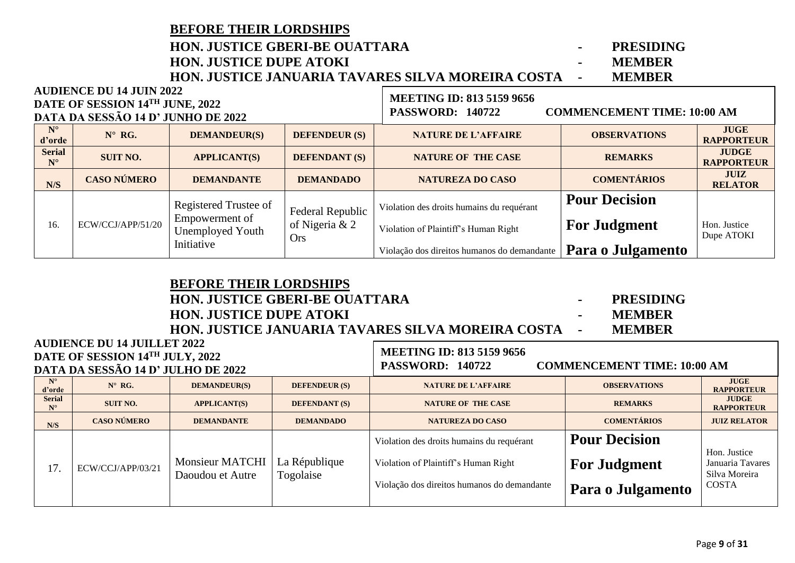|                                                                                                          | <b>HON. JUSTICE GBERI-BE OUATTARA</b><br><b>HON. JUSTICE DUPE ATOKI</b> | <b>PRESIDING</b><br>۰.<br><b>MEMBER</b><br>$\blacksquare$<br>HON. JUSTICE JANUARIA TAVARES SILVA MOREIRA COSTA<br><b>MEMBER</b><br>$\blacksquare$ |                              |                                                             |                                    |                                   |
|----------------------------------------------------------------------------------------------------------|-------------------------------------------------------------------------|---------------------------------------------------------------------------------------------------------------------------------------------------|------------------------------|-------------------------------------------------------------|------------------------------------|-----------------------------------|
| <b>AUDIENCE DU 14 JUIN 2022</b><br>DATE OF SESSION 14TH JUNE, 2022<br>DATA DA SESSÃO 14 D' JUNHO DE 2022 |                                                                         |                                                                                                                                                   |                              | <b>MEETING ID: 813 5159 9656</b><br><b>PASSWORD: 140722</b> | <b>COMMENCEMENT TIME: 10:00 AM</b> |                                   |
| $N^{\circ}$<br>d'orde                                                                                    | $N^{\circ}$ RG.                                                         | <b>DEMANDEUR(S)</b>                                                                                                                               | <b>DEFENDEUR (S)</b>         | <b>NATURE DE L'AFFAIRE</b>                                  | <b>OBSERVATIONS</b>                | <b>JUGE</b><br><b>RAPPORTEUR</b>  |
| <b>Serial</b><br>$N^{\circ}$                                                                             | <b>SUIT NO.</b>                                                         | <b>APPLICANT(S)</b>                                                                                                                               | <b>DEFENDANT (S)</b>         | <b>NATURE OF THE CASE</b>                                   | <b>REMARKS</b>                     | <b>JUDGE</b><br><b>RAPPORTEUR</b> |
| N/S                                                                                                      | <b>CASO NÚMERO</b>                                                      | <b>DEMANDANTE</b>                                                                                                                                 | <b>DEMANDADO</b>             | <b>NATUREZA DO CASO</b>                                     | <b>COMENTÁRIOS</b>                 | <b>JUIZ</b><br><b>RELATOR</b>     |
|                                                                                                          |                                                                         | Registered Trustee of                                                                                                                             | Federal Republic             | Violation des droits humains du requérant                   | <b>Pour Decision</b>               |                                   |
| 16.                                                                                                      | ECW/CCJ/APP/51/20                                                       | Empowerment of<br><b>Unemployed Youth</b>                                                                                                         | of Nigeria & 2<br><b>Ors</b> | Violation of Plaintiff's Human Right                        | <b>For Judgment</b>                | Hon. Justice<br>Dupe ATOKI        |
|                                                                                                          |                                                                         | Initiative                                                                                                                                        |                              | Violação dos direitos humanos do demandante                 | Para o Julgamento                  |                                   |

| <b>BEFORE THEIR LORDSHIPS</b>                              |                  |
|------------------------------------------------------------|------------------|
| <b>HON. JUSTICE GBERI-BE OUATTARA</b>                      | <b>PRESIDING</b> |
| <b>HON. JUSTICE DUPE ATOKI</b>                             | <b>MEMBER</b>    |
| <b>HON. JUSTICE JANUARIA TAVARES SILVA MOREIRA COSTA -</b> | <b>MEMRER</b>    |
| I ET 2022                                                  |                  |

### **AUDIENCE DU 14 JUILLET 2022 DATE OF SESSION 14 TH JULY, 2022 DATA DA SESSÃO 14 D' JULHO DE 2022**

## **MEETING ID: 813 5159 9656**

**PASSWORD: 140722 COMMENCEMENT TIME: 10:00 AM**

| DATA DA SESSÃO 14 D'JULHO DE 2022 |                    |                                            |                            |                                             |                      |                                                   |
|-----------------------------------|--------------------|--------------------------------------------|----------------------------|---------------------------------------------|----------------------|---------------------------------------------------|
| $N^{\circ}$<br>d'orde             | $N^{\circ}$ RG.    | <b>DEMANDEUR(S)</b>                        | <b>DEFENDEUR (S)</b>       | <b>NATURE DE L'AFFAIRE</b>                  | <b>OBSERVATIONS</b>  | <b>JUGE</b><br><b>RAPPORTEUR</b>                  |
| <b>Serial</b><br>$N^{\circ}$      | <b>SUIT NO.</b>    | <b>APPLICANT(S)</b>                        | <b>DEFENDANT (S)</b>       | <b>NATURE OF THE CASE</b>                   | <b>REMARKS</b>       | <b>JUDGE</b><br><b>RAPPORTEUR</b>                 |
| N/S                               | <b>CASO NÚMERO</b> | <b>DEMANDANTE</b>                          | <b>DEMANDADO</b>           | NATUREZA DO CASO                            | <b>COMENTÁRIOS</b>   | <b>JUIZ RELATOR</b>                               |
| 17.                               | ECW/CCJ/APP/03/21  | <b>Monsieur MATCHI</b><br>Daoudou et Autre | La République<br>Togolaise | Violation des droits humains du requérant   | <b>Pour Decision</b> |                                                   |
|                                   |                    |                                            |                            | Violation of Plaintiff's Human Right        | <b>For Judgment</b>  | Hon. Justice<br>Januaria Tavares<br>Silva Moreira |
|                                   |                    |                                            |                            | Violação dos direitos humanos do demandante | Para o Julgamento    | <b>COSTA</b>                                      |
|                                   |                    |                                            |                            |                                             |                      |                                                   |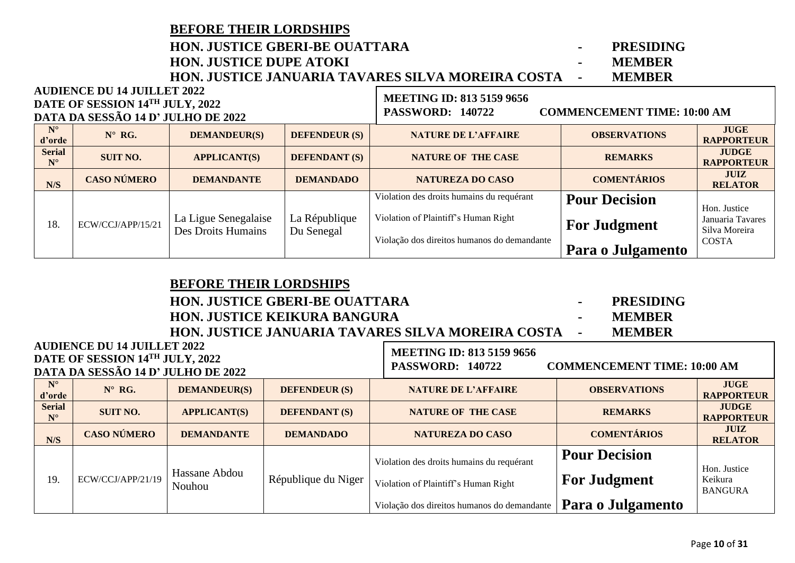|                              | <b>BEFORE THEIR LORDSHIPS</b>                                         |                                            |                             |                                                   |                                    |                                                   |  |
|------------------------------|-----------------------------------------------------------------------|--------------------------------------------|-----------------------------|---------------------------------------------------|------------------------------------|---------------------------------------------------|--|
|                              |                                                                       | <b>HON. JUSTICE GBERI-BE OUATTARA</b>      |                             |                                                   | <b>PRESIDING</b>                   |                                                   |  |
|                              |                                                                       | <b>HON. JUSTICE DUPE ATOKI</b>             |                             |                                                   | <b>MEMBER</b>                      |                                                   |  |
|                              |                                                                       |                                            |                             | HON. JUSTICE JANUARIA TAVARES SILVA MOREIRA COSTA | <b>MEMBER</b>                      |                                                   |  |
|                              | <b>AUDIENCE DU 14 JUILLET 2022</b>                                    |                                            |                             | <b>MEETING ID: 813 5159 9656</b>                  |                                    |                                                   |  |
|                              | DATE OF SESSION 14TH JULY, 2022<br>DATA DA SESSÃO 14 D' JULHO DE 2022 |                                            |                             | <b>PASSWORD: 140722</b>                           | <b>COMMENCEMENT TIME: 10:00 AM</b> |                                                   |  |
| $N^{\circ}$<br>d'orde        | $N^{\circ}$ RG.                                                       | <b>DEMANDEUR(S)</b>                        | <b>DEFENDEUR (S)</b>        | <b>NATURE DE L'AFFAIRE</b>                        | <b>OBSERVATIONS</b>                | <b>JUGE</b><br><b>RAPPORTEUR</b>                  |  |
| <b>Serial</b><br>$N^{\circ}$ | <b>SUIT NO.</b>                                                       | <b>APPLICANT(S)</b>                        | <b>DEFENDANT</b> (S)        | <b>NATURE OF THE CASE</b>                         | <b>REMARKS</b>                     | <b>JUDGE</b><br><b>RAPPORTEUR</b>                 |  |
| N/S                          | <b>CASO NÚMERO</b>                                                    | <b>DEMANDANTE</b>                          | <b>DEMANDADO</b>            | <b>NATUREZA DO CASO</b>                           | <b>COMENTÁRIOS</b>                 | <b>JUIZ</b><br><b>RELATOR</b>                     |  |
|                              |                                                                       |                                            |                             | Violation des droits humains du requérant         | <b>Pour Decision</b>               |                                                   |  |
| 18.                          | ECW/CCJ/APP/15/21                                                     | La Ligue Senegalaise<br>Des Droits Humains | La République<br>Du Senegal | Violation of Plaintiff's Human Right              | <b>For Judgment</b>                | Hon. Justice<br>Januaria Tavares<br>Silva Moreira |  |
|                              |                                                                       |                                            |                             | Violação dos direitos humanos do demandante       | Para o Julgamento                  | <b>COSTA</b>                                      |  |

|                              |                                                                       | <b>BEFORE THEIR LORDSHIPS</b><br><b>HON. JUSTICE GBERI-BE OUATTARA</b><br><b>HON. JUSTICE KEIKURA BANGURA</b><br>HON. JUSTICE JANUARIA TAVARES SILVA MOREIRA COSTA | <b>PRESIDING</b><br>$\bullet$<br><b>MEMBER</b><br>$\sim$<br><b>MEMBER</b><br>$\blacksquare$ |                                                                                   |                                             |                                           |
|------------------------------|-----------------------------------------------------------------------|--------------------------------------------------------------------------------------------------------------------------------------------------------------------|---------------------------------------------------------------------------------------------|-----------------------------------------------------------------------------------|---------------------------------------------|-------------------------------------------|
|                              | <b>AUDIENCE DU 14 JUILLET 2022</b><br>DATE OF SESSION 14TH JULY, 2022 |                                                                                                                                                                    |                                                                                             | <b>MEETING ID: 813 5159 9656</b>                                                  |                                             |                                           |
|                              | DATA DA SESSÃO 14 D' JULHO DE 2022                                    |                                                                                                                                                                    |                                                                                             | <b>PASSWORD: 140722</b>                                                           | <b>COMMENCEMENT TIME: 10:00 AM</b>          |                                           |
| $N^{\circ}$<br>d'orde        | $N^{\circ}$ RG.                                                       | <b>DEMANDEUR(S)</b>                                                                                                                                                | <b>DEFENDEUR (S)</b>                                                                        | <b>NATURE DE L'AFFAIRE</b>                                                        | <b>OBSERVATIONS</b>                         | <b>JUGE</b><br><b>RAPPORTEUR</b>          |
| <b>Serial</b><br>$N^{\circ}$ | <b>SUIT NO.</b>                                                       | <b>APPLICANT(S)</b>                                                                                                                                                | <b>DEFENDANT</b> (S)                                                                        | <b>NATURE OF THE CASE</b>                                                         | <b>REMARKS</b>                              | <b>JUDGE</b><br><b>RAPPORTEUR</b>         |
| N/S                          | <b>CASO NÚMERO</b>                                                    | <b>DEMANDANTE</b>                                                                                                                                                  | <b>DEMANDADO</b>                                                                            | <b>NATUREZA DO CASO</b>                                                           | <b>COMENTÁRIOS</b>                          | <b>JUIZ</b><br><b>RELATOR</b>             |
| 19.                          | ECW/CCJ/APP/21/19                                                     | Hassane Abdou<br>Nouhou                                                                                                                                            | République du Niger                                                                         | Violation des droits humains du requérant<br>Violation of Plaintiff's Human Right | <b>Pour Decision</b><br><b>For Judgment</b> | Hon. Justice<br>Keikura<br><b>BANGURA</b> |
|                              |                                                                       |                                                                                                                                                                    |                                                                                             | Violação dos direitos humanos do demandante                                       | Para o Julgamento                           |                                           |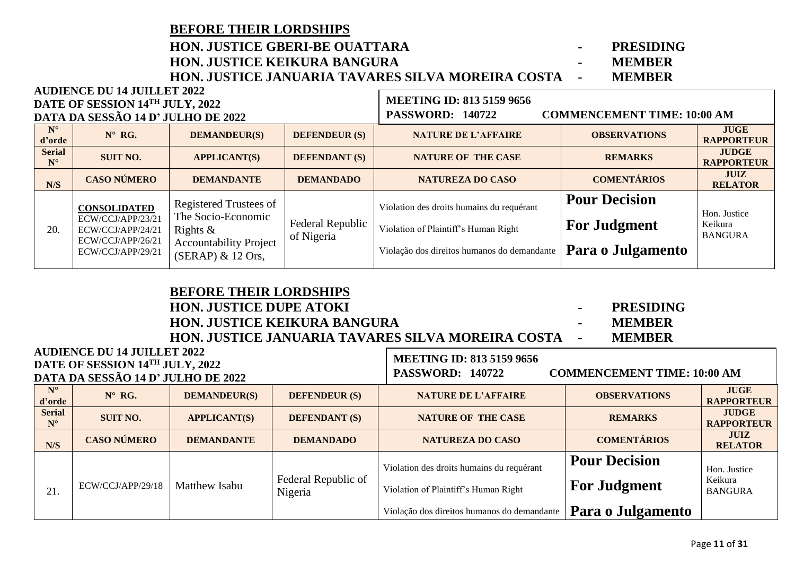**BEFORE THEIR LORDSHIPS**

**AUDIENCE DU 14 JUILLET 2022**

## **HON. JUSTICE GBERI-BE OUATTARA - PRESIDING**

**HON. JUSTICE KEIKURA BANGURA - MEMBER HON. JUSTICE JANUARIA TAVARES SILVA MOREIRA COSTA -**

| DATE OF SESSION 14TH JULY, 2022<br>DATA DA SESSÃO 14 D' JULHO DE 2022 |                              |                                                                                                         |                                                                                                                   |                                | <b>MEETING ID: 813 5159 9656</b><br><b>PASSWORD: 140722</b> | <b>COMMENCEMENT TIME: 10:00 AM</b> |                                   |
|-----------------------------------------------------------------------|------------------------------|---------------------------------------------------------------------------------------------------------|-------------------------------------------------------------------------------------------------------------------|--------------------------------|-------------------------------------------------------------|------------------------------------|-----------------------------------|
| $N^{\circ}$<br>d'orde                                                 |                              | $N^{\circ}$ RG.                                                                                         | <b>DEMANDEUR(S)</b>                                                                                               | <b>DEFENDEUR (S)</b>           | <b>NATURE DE L'AFFAIRE</b>                                  | <b>OBSERVATIONS</b>                | <b>JUGE</b><br><b>RAPPORTEUR</b>  |
|                                                                       | <b>Serial</b><br>$N^{\circ}$ | <b>SUIT NO.</b>                                                                                         | <b>APPLICANT(S)</b>                                                                                               | <b>DEFENDANT (S)</b>           | <b>NATURE OF THE CASE</b>                                   | <b>REMARKS</b>                     | <b>JUDGE</b><br><b>RAPPORTEUR</b> |
|                                                                       | N/S                          | <b>CASO NÚMERO</b>                                                                                      | <b>DEMANDANTE</b>                                                                                                 | <b>DEMANDADO</b>               | <b>NATUREZA DO CASO</b>                                     | <b>COMENTÁRIOS</b>                 | <b>JUIZ</b><br><b>RELATOR</b>     |
|                                                                       |                              | <b>CONSOLIDATED</b><br>ECW/CCJ/APP/23/21<br>ECW/CCJ/APP/24/21<br>ECW/CCJ/APP/26/21<br>ECW/CCJ/APP/29/21 | Registered Trustees of<br>The Socio-Economic<br>Rights $\&$<br><b>Accountability Project</b><br>(SERAP) & 12 Ors, | Federal Republic<br>of Nigeria | Violation des droits humains du requérant                   | <b>Pour Decision</b>               | Hon. Justice                      |
|                                                                       | 20.                          |                                                                                                         |                                                                                                                   |                                | Violation of Plaintiff's Human Right                        | <b>For Judgment</b>                | Keikura<br><b>BANGURA</b>         |
|                                                                       |                              |                                                                                                         |                                                                                                                   |                                | Violação dos direitos humanos do demandante                 | Para o Julgamento                  |                                   |

 $\Gamma$ 

| <b>DEFONE THEIR LONDSHIPS</b>                                                                                                                                                                                                                                                                                                                                                                       |                                  |               |                  |
|-----------------------------------------------------------------------------------------------------------------------------------------------------------------------------------------------------------------------------------------------------------------------------------------------------------------------------------------------------------------------------------------------------|----------------------------------|---------------|------------------|
| <b>HON. JUSTICE DUPE ATOKI</b>                                                                                                                                                                                                                                                                                                                                                                      |                                  | $\sim$        | <b>PRESIDING</b> |
| <b>HON. JUSTICE KEIKURA BANGURA</b>                                                                                                                                                                                                                                                                                                                                                                 | $\sim$                           | <b>MEMBER</b> |                  |
| <b>HON. JUSTICE JANUARIA TAVARES SILVA MOREIRA COSTA -</b>                                                                                                                                                                                                                                                                                                                                          |                                  |               | <b>MEMBER</b>    |
| <b>AUDIENCE DU 14 JUILLET 2022</b><br>$\equiv$ , $\equiv$ , $\equiv$ , $\equiv$ , $\equiv$ , $\equiv$ , $\equiv$ , $\equiv$ , $\equiv$ , $\equiv$ , $\equiv$ , $\equiv$ , $\equiv$ , $\equiv$ , $\equiv$ , $\equiv$ , $\equiv$ , $\equiv$ , $\equiv$ , $\equiv$ , $\equiv$ , $\equiv$ , $\equiv$ , $\equiv$ , $\equiv$ , $\equiv$ , $\equiv$ , $\equiv$ , $\equiv$ , $\equiv$ , $\equiv$ , $\equiv$ | <b>MEETING ID: 813 5159 9656</b> |               |                  |

| ис <i>р</i> ился ре ітэсиля <i>дея</i><br>DATE OF SESSION 14TH JULY, 2022<br>DATA DA SESSÃO 14 D' JULHO DE 2022 |                    |                     |                                | <b>MEETING ID: 813 5159 9656</b><br><b>COMMENCEMENT TIME: 10:00 AM</b><br><b>PASSWORD: 140722</b> |                      |                                   |
|-----------------------------------------------------------------------------------------------------------------|--------------------|---------------------|--------------------------------|---------------------------------------------------------------------------------------------------|----------------------|-----------------------------------|
| $N^{\circ}$<br>d'orde                                                                                           | $N^{\circ}$ RG.    | <b>DEMANDEUR(S)</b> | <b>DEFENDEUR (S)</b>           | <b>NATURE DE L'AFFAIRE</b>                                                                        | <b>OBSERVATIONS</b>  | <b>JUGE</b><br><b>RAPPORTEUR</b>  |
| <b>Serial</b><br>$N^{\circ}$                                                                                    | <b>SUIT NO.</b>    | <b>APPLICANT(S)</b> | <b>DEFENDANT (S)</b>           | <b>NATURE OF THE CASE</b>                                                                         | <b>REMARKS</b>       | <b>JUDGE</b><br><b>RAPPORTEUR</b> |
| N/S                                                                                                             | <b>CASO NÚMERO</b> | <b>DEMANDANTE</b>   | <b>DEMANDADO</b>               | <b>NATUREZA DO CASO</b>                                                                           | <b>COMENTÁRIOS</b>   | JUIZ<br><b>RELATOR</b>            |
|                                                                                                                 | ECW/CCJ/APP/29/18  | Matthew Isabu       | Federal Republic of<br>Nigeria | Violation des droits humains du requérant                                                         | <b>Pour Decision</b> | Hon. Justice                      |
| 21.                                                                                                             |                    |                     |                                | Violation of Plaintiff's Human Right                                                              | <b>For Judgment</b>  | Keikura<br><b>BANGURA</b>         |
|                                                                                                                 |                    |                     |                                | Violação dos direitos humanos do demandante                                                       | Para o Julgamento    |                                   |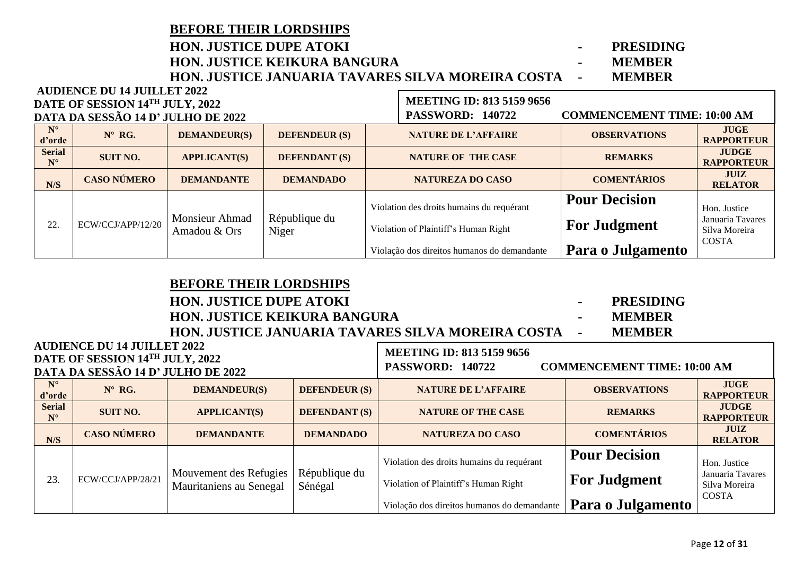### **BEFORE THEIR LORDSHIPS HON. JUSTICE DUPE ATOKI - PRESIDING HON. JUSTICE KEIKURA BANGURA - MEMBER HON. JUSTICE JANUARIA TAVARES SILVA MOREIRA COSTA - MEMBER AUDIENCE DU 14 JUILLET 2022**

г

| DATE OF SESSION 14TH JULY, 2022 |                                    |                                       |                        | <b>MEETING ID: 813 5159 9656</b> |                                             |                                    |                                   |
|---------------------------------|------------------------------------|---------------------------------------|------------------------|----------------------------------|---------------------------------------------|------------------------------------|-----------------------------------|
|                                 | DATA DA SESSÃO 14 D' JULHO DE 2022 |                                       |                        |                                  | <b>PASSWORD: 140722</b>                     | <b>COMMENCEMENT TIME: 10:00 AM</b> |                                   |
| $N^{\circ}$<br>d'orde           | $N^{\circ}$ RG.                    | <b>DEMANDEUR(S)</b>                   | <b>DEFENDEUR (S)</b>   |                                  | <b>NATURE DE L'AFFAIRE</b>                  | <b>OBSERVATIONS</b>                | <b>JUGE</b><br><b>RAPPORTEUR</b>  |
| <b>Serial</b><br>$N^{\circ}$    | <b>SUIT NO.</b>                    | <b>APPLICANT(S)</b>                   | <b>DEFENDANT (S)</b>   |                                  | <b>NATURE OF THE CASE</b>                   | <b>REMARKS</b>                     | <b>JUDGE</b><br><b>RAPPORTEUR</b> |
| N/S                             | <b>CASO NÚMERO</b>                 | <b>DEMANDANTE</b>                     | <b>DEMANDADO</b>       |                                  | <b>NATUREZA DO CASO</b>                     | <b>COMENTÁRIOS</b>                 | <b>JUIZ</b><br><b>RELATOR</b>     |
|                                 |                                    | <b>Monsieur Ahmad</b><br>Amadou & Ors | République du<br>Niger |                                  | Violation des droits humains du requérant   | <b>Pour Decision</b>               | Hon. Justice<br>Januaria Tavares  |
| 22.                             | ECW/CCJ/APP/12/20                  |                                       |                        |                                  | Violation of Plaintiff's Human Right        | <b>For Judgment</b>                | Silva Moreira<br><b>COSTA</b>     |
|                                 |                                    |                                       |                        |                                  | Violação dos direitos humanos do demandante | Para o Julgamento                  |                                   |

**BEFORE THEIR LORDSHIPS**

| <b>HON. JUSTICE DUPE ATOKI</b>                                               | <b>PRESIDING</b>                 |  |
|------------------------------------------------------------------------------|----------------------------------|--|
| <b>HON. JUSTICE KEIKURA BANGURA</b>                                          | <b>MEMBER</b>                    |  |
| <b>HON. JUSTICE JANUARIA TAVARES SILVA MOREIRA COSTA --</b>                  | <b>MEMBER</b>                    |  |
| <b>AUDIENCE DU 14 JUILLET 2022</b><br><b>DATE OF SESSION 14TH HILLY 2022</b> | <b>MEETING ID: 813 5159 9656</b> |  |

### **DATE OF SESSION 14TH JULY, 2022 DATA DA SESSÃO 14 D' JULHO DE 2022 N° d'**orde **d'argeleries in the Manueur (S) DEFENDEUR** (S) **DEFENDEUR (S) NATURE DE L'AFFAIRE OBSERVATIONS RAPPORTI RAPPORTEUR Serial N° SUIT NO. APPLICANT(S) DEFENDANT (S) NATURE OF THE CASE REMARKS JUDGE RAPPORTEUR N/S CASO NÚMERO DEMANDANTE DEMANDADO NATUREZA DO CASO COMENTÁRIOS JUIZ RELATOR** 23. ECW/CCJ/APP/28/21 Mouvement des Refugies Mauritaniens au Senegal République du Sénégal Violation des droits humains du requérant Violation of Plaintiff's Human Right Violação dos direitos humanos do demandante **Pour Decision For Judgment Para o Julgamento** Hon. Justice Januaria Tavares Silva Moreira COSTA **PASSWORD: 140722 COMMENCEMENT TIME: 10:00 AM**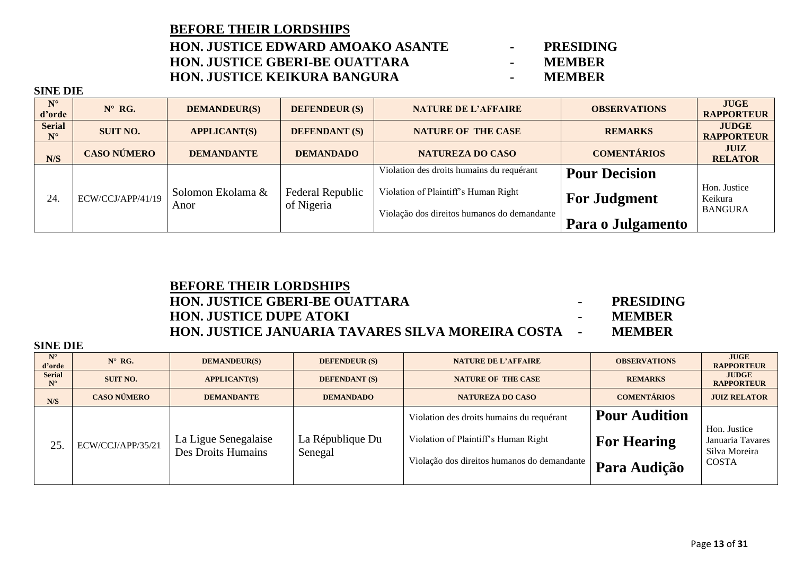### Page **13** of **31**

### **BEFORE THEIR LORDSHIPS HON. JUSTICE EDWARD AMOAKO ASANTE - PRESIDING HON. JUSTICE GBERI-BE OUATTARA - MEMBER HON. JUSTICE KEIKURA BANGURA -**

- 
- 
- 

| $N^{\circ}$<br>d'orde        | $N^{\circ}$ RG.    | <b>DEMANDEUR(S)</b>       | <b>DEFENDEUR (S)</b>                  | <b>NATURE DE L'AFFAIRE</b>                  | <b>OBSERVATIONS</b>  | <b>JUGE</b><br><b>RAPPORTEUR</b>          |
|------------------------------|--------------------|---------------------------|---------------------------------------|---------------------------------------------|----------------------|-------------------------------------------|
| <b>Serial</b><br>$N^{\circ}$ | <b>SUIT NO.</b>    | <b>APPLICANT(S)</b>       | <b>DEFENDANT (S)</b>                  | <b>NATURE OF THE CASE</b>                   | <b>REMARKS</b>       | <b>JUDGE</b><br><b>RAPPORTEUR</b>         |
| N/S                          | <b>CASO NÚMERO</b> | <b>DEMANDANTE</b>         | <b>DEMANDADO</b>                      | <b>NATUREZA DO CASO</b>                     | <b>COMENTÁRIOS</b>   | <b>JUIZ</b><br><b>RELATOR</b>             |
|                              |                    |                           |                                       | Violation des droits humains du requérant   | <b>Pour Decision</b> |                                           |
| 24.                          | ECW/CCJ/APP/41/19  | Solomon Ekolama &<br>Anor | <b>Federal Republic</b><br>of Nigeria | Violation of Plaintiff's Human Right        | <b>For Judgment</b>  | Hon. Justice<br>Keikura<br><b>BANGURA</b> |
|                              |                    |                           |                                       | Violação dos direitos humanos do demandante | Para o Julgamento    |                                           |

### **BEFORE THEIR LORDSHIPS HON. JUSTICE GBERI-BE OUATTARA - PRESIDING HON. JUSTICE DUPE ATOKI - MEMBER HON. JUSTICE JANUARIA TAVARES SILVA MOREIRA COSTA - MEMBER**

| $N^{\circ}$<br>d'orde                 | $N^{\circ}$ RG.    | <b>DEMANDEUR(S)</b>                        | <b>DEFENDEUR</b> (S)        | <b>NATURE DE L'AFFAIRE</b>                                                        | <b>OBSERVATIONS</b>                        | <b>JUGE</b><br><b>RAPPORTEUR</b>  |
|---------------------------------------|--------------------|--------------------------------------------|-----------------------------|-----------------------------------------------------------------------------------|--------------------------------------------|-----------------------------------|
| <b>Serial</b><br>$\mathbf{N}^{\circ}$ | <b>SUIT NO.</b>    | <b>APPLICANT(S)</b>                        | <b>DEFENDANT (S)</b>        | <b>NATURE OF THE CASE</b>                                                         | <b>REMARKS</b>                             | <b>JUDGE</b><br><b>RAPPORTEUR</b> |
| N/S                                   | <b>CASO NÚMERO</b> | <b>DEMANDANTE</b>                          | <b>DEMANDADO</b>            | <b>NATUREZA DO CASO</b>                                                           | <b>COMENTÁRIOS</b>                         | <b>JUIZ RELATOR</b>               |
| 25                                    | ECW/CCJ/APP/35/21  | La Ligue Senegalaise<br>Des Droits Humains | La République Du<br>Senegal | Violation des droits humains du requérant<br>Violation of Plaintiff's Human Right | <b>Pour Audition</b><br><b>For Hearing</b> | Hon. Justice<br>Januaria Tavares  |
|                                       |                    |                                            |                             | Violação dos direitos humanos do demandante                                       | <b>Para Audição</b>                        | Silva Moreira<br><b>COSTA</b>     |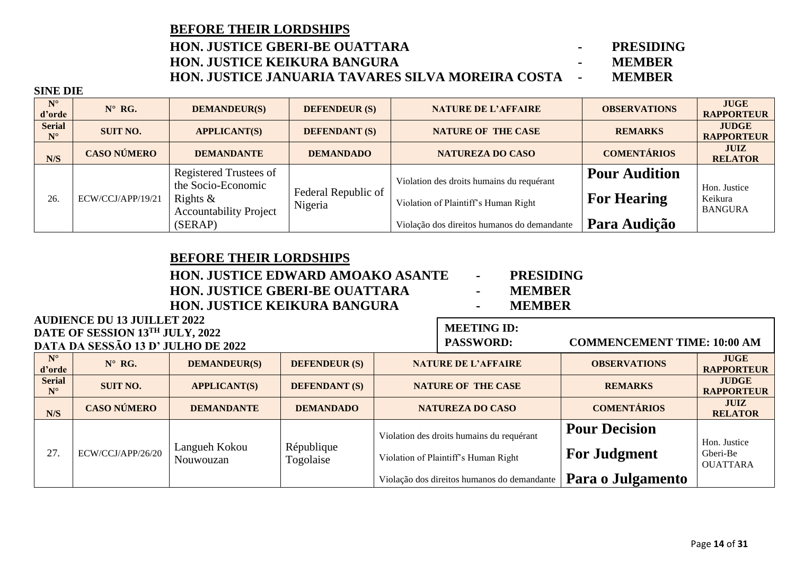### **BEFORE THEIR LORDSHIPS HON. JUSTICE GBERI-BE OUATTARA - PRESIDING HON. JUSTICE KEIKURA BANGURA - MEMBER HON. JUSTICE JANUARIA TAVARES SILVA MOREIRA COSTA - MEMBER**

### **SINE DIE**

| $N^{\circ}$<br>d'orde        | $N^{\circ}$ RG.    | <b>DEMANDEUR(S)</b>                                                                          | <b>DEFENDEUR (S)</b>           | <b>NATURE DE L'AFFAIRE</b>                                                        | <b>OBSERVATIONS</b>                        | <b>JUGE</b><br><b>RAPPORTEUR</b>          |
|------------------------------|--------------------|----------------------------------------------------------------------------------------------|--------------------------------|-----------------------------------------------------------------------------------|--------------------------------------------|-------------------------------------------|
| <b>Serial</b><br>$N^{\circ}$ | <b>SUIT NO.</b>    | <b>APPLICANT(S)</b>                                                                          | <b>DEFENDANT (S)</b>           | <b>NATURE OF THE CASE</b>                                                         | <b>REMARKS</b>                             | <b>JUDGE</b><br><b>RAPPORTEUR</b>         |
| N/S                          | <b>CASO NÚMERO</b> | <b>DEMANDANTE</b>                                                                            | <b>DEMANDADO</b>               | <b>NATUREZA DO CASO</b>                                                           | <b>COMENTÁRIOS</b>                         | <b>JUIZ</b><br><b>RELATOR</b>             |
| 26.                          | ECW/CCJ/APP/19/21  | Registered Trustees of<br>the Socio-Economic<br>Rights $\&$<br><b>Accountability Project</b> | Federal Republic of<br>Nigeria | Violation des droits humains du requérant<br>Violation of Plaintiff's Human Right | <b>Pour Audition</b><br><b>For Hearing</b> | Hon. Justice<br>Keikura<br><b>BANGURA</b> |
|                              |                    | (SERAP)                                                                                      |                                | Violação dos direitos humanos do demandante                                       | Para Audição                               |                                           |

### **BEFORE THEIR LORDSHIPS**

### **HON. JUSTICE EDWARD AMOAKO ASANTE - PRESIDING HON. JUSTICE GBERI-BE OUATTARA -HON. JUSTICE KEIKURA BANGURA - MEMBER**

- 
- 

**MEETING ID:** 

| <b>AUDIENCE DU 13 JUILLET 2022</b>     |
|----------------------------------------|
| <b>DATE OF SESSION 13TH JULY, 2022</b> |
| DATA DA SESSÃO 13 D' JULHO DE 2022     |

|                              | $P(11111)$ of Depoison to $0.0111$ , $1.011$<br>DATA DA SESSÃO 13 D' JULHO DE 2022 |                            | <b>PASSWORD:</b>        | <b>COMMENCEMENT TIME: 10:00 AM</b> |                                                                                   |                                             |                                             |
|------------------------------|------------------------------------------------------------------------------------|----------------------------|-------------------------|------------------------------------|-----------------------------------------------------------------------------------|---------------------------------------------|---------------------------------------------|
| $N^{\circ}$<br>d'orde        | $N^{\circ}$ RG.                                                                    | <b>DEMANDEUR(S)</b>        | <b>DEFENDEUR (S)</b>    |                                    | <b>NATURE DE L'AFFAIRE</b>                                                        | <b>OBSERVATIONS</b>                         | <b>JUGE</b><br><b>RAPPORTEUR</b>            |
| <b>Serial</b><br>$N^{\circ}$ | <b>SUIT NO.</b>                                                                    | <b>APPLICANT(S)</b>        | <b>DEFENDANT</b> (S)    |                                    | <b>NATURE OF THE CASE</b>                                                         | <b>REMARKS</b>                              | <b>JUDGE</b><br><b>RAPPORTEUR</b>           |
| N/S                          | <b>CASO NÚMERO</b>                                                                 | <b>DEMANDANTE</b>          | <b>DEMANDADO</b>        | <b>NATUREZA DO CASO</b>            |                                                                                   | <b>COMENTÁRIOS</b>                          | <b>JUIZ</b><br><b>RELATOR</b>               |
| 27.                          | ECW/CCJ/APP/26/20                                                                  | Langueh Kokou<br>Nouwouzan | République<br>Togolaise |                                    | Violation des droits humains du requérant<br>Violation of Plaintiff's Human Right | <b>Pour Decision</b><br><b>For Judgment</b> | Hon. Justice<br>Gberi-Be<br><b>OUATTARA</b> |
|                              |                                                                                    |                            |                         |                                    | Violação dos direitos humanos do demandante                                       | Para o Julgamento                           |                                             |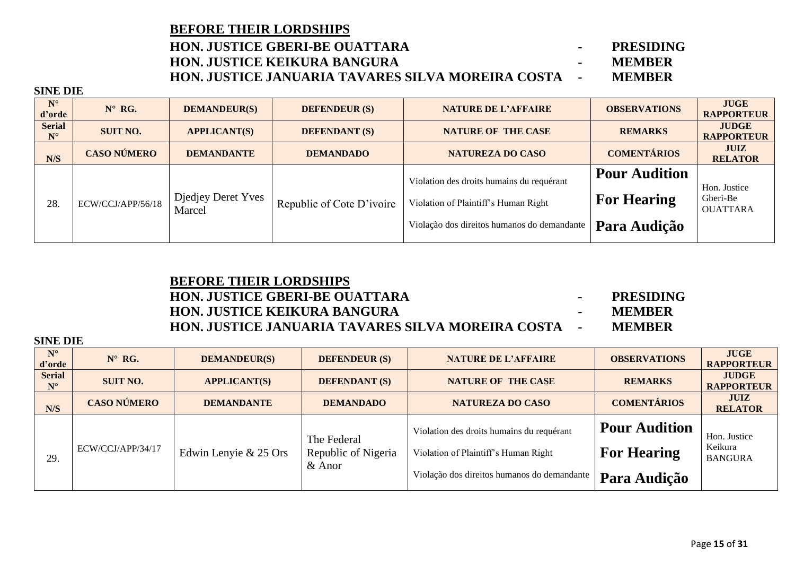| <b>BEFORE THEIR LORDSHIPS</b>                           |    |                  |
|---------------------------------------------------------|----|------------------|
| HON. JUSTICE GBERI-BE OUATTARA                          |    | <b>PRESIDING</b> |
| HON. JUSTICE KEIKURA BANGURA                            | ۰. | <b>MEMRER</b>    |
| HON. JUSTICE JANUARIA TAVARES SILVA MOREIRA COSTA     - |    | <b>MEMBER</b>    |

**SINE DIE**

| $N^{\circ}$<br>d'orde        | $N^{\circ}$ RG.    | <b>DEMANDEUR(S)</b>          | <b>DEFENDEUR (S)</b>      | <b>NATURE DE L'AFFAIRE</b>                                                                                                       | <b>OBSERVATIONS</b>                                        | <b>JUGE</b><br><b>RAPPORTEUR</b>            |
|------------------------------|--------------------|------------------------------|---------------------------|----------------------------------------------------------------------------------------------------------------------------------|------------------------------------------------------------|---------------------------------------------|
| <b>Serial</b><br>$N^{\circ}$ | <b>SUIT NO.</b>    | <b>APPLICANT(S)</b>          | <b>DEFENDANT (S)</b>      | <b>NATURE OF THE CASE</b>                                                                                                        | <b>REMARKS</b>                                             | <b>JUDGE</b><br><b>RAPPORTEUR</b>           |
| N/S                          | <b>CASO NÚMERO</b> | <b>DEMANDANTE</b>            | <b>DEMANDADO</b>          | <b>NATUREZA DO CASO</b>                                                                                                          | <b>COMENTÁRIOS</b>                                         | <b>JUIZ</b><br><b>RELATOR</b>               |
| 28.                          | ECW/CCJ/APP/56/18  | Djedjey Deret Yves<br>Marcel | Republic of Cote D'ivoire | Violation des droits humains du requérant<br>Violation of Plaintiff's Human Right<br>Violação dos direitos humanos do demandante | <b>Pour Audition</b><br><b>For Hearing</b><br>Para Audição | Hon. Justice<br>Gberi-Be<br><b>OUATTARA</b> |

### **BEFORE THEIR LORDSHIPS HON. JUSTICE GBERI-BE OUATTARA - PRESIDING HON. JUSTICE KEIKURA BANGURA - MEMBER HON. JUSTICE JANUARIA TAVARES SILVA MOREIRA COSTA - MEMBER**

- 
- 

| $\mathbf{v}$                 |                    |                       |                                                |                                                                                                                                  |                                                            |                                           |
|------------------------------|--------------------|-----------------------|------------------------------------------------|----------------------------------------------------------------------------------------------------------------------------------|------------------------------------------------------------|-------------------------------------------|
| $N^{\circ}$<br>d'orde        | $N^{\circ}$ RG.    | <b>DEMANDEUR(S)</b>   | <b>DEFENDEUR (S)</b>                           | <b>NATURE DE L'AFFAIRE</b>                                                                                                       | <b>OBSERVATIONS</b>                                        | <b>JUGE</b><br><b>RAPPORTEUR</b>          |
| <b>Serial</b><br>$N^{\circ}$ | <b>SUIT NO.</b>    | <b>APPLICANT(S)</b>   | <b>DEFENDANT (S)</b>                           | <b>NATURE OF THE CASE</b>                                                                                                        | <b>REMARKS</b>                                             | <b>JUDGE</b><br><b>RAPPORTEUR</b>         |
| N/S                          | <b>CASO NÚMERO</b> | <b>DEMANDANTE</b>     | <b>DEMANDADO</b>                               | <b>NATUREZA DO CASO</b>                                                                                                          | <b>COMENTÁRIOS</b>                                         | <b>JUIZ</b><br><b>RELATOR</b>             |
| 29.                          | ECW/CCJ/APP/34/17  | Edwin Lenyie & 25 Ors | The Federal<br>Republic of Nigeria<br>$&$ Anor | Violation des droits humains du requérant<br>Violation of Plaintiff's Human Right<br>Violação dos direitos humanos do demandante | <b>Pour Audition</b><br><b>For Hearing</b><br>Para Audição | Hon. Justice<br>Keikura<br><b>BANGURA</b> |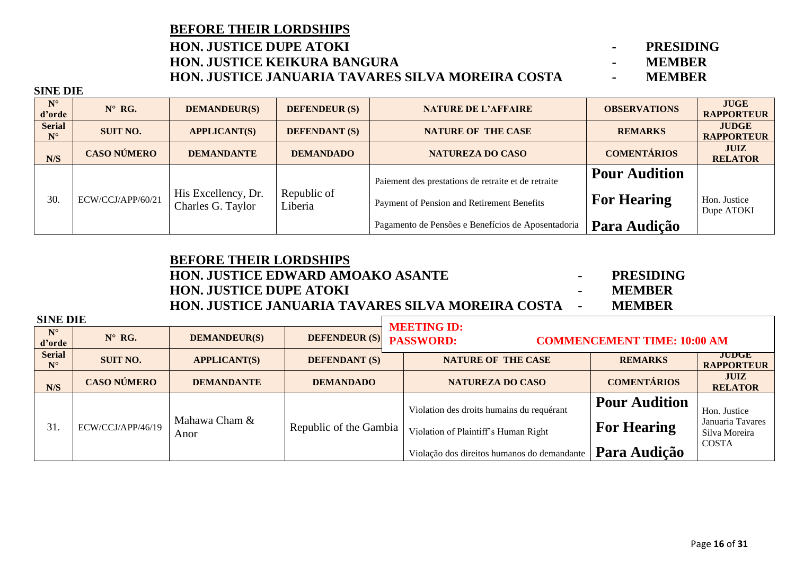### **BEFORE THEIR LORDSHIPS HON. JUSTICE DUPE ATOKI - PRESIDING HON. JUSTICE KEIKURA BANGURA - MEMBER HON. JUSTICE JANUARIA TAVARES SILVA MOREIRA COSTA -**

**SINE DIE**

| $N^{\circ}$<br>d'orde        | $N^{\circ}$ RG.    | <b>DEMANDEUR(S)</b>                      | <b>DEFENDEUR (S)</b>   | <b>NATURE DE L'AFFAIRE</b>                          | <b>OBSERVATIONS</b>  | <b>JUGE</b><br><b>RAPPORTEUR</b>  |
|------------------------------|--------------------|------------------------------------------|------------------------|-----------------------------------------------------|----------------------|-----------------------------------|
| <b>Serial</b><br>$N^{\circ}$ | <b>SUIT NO.</b>    | <b>APPLICANT(S)</b>                      | <b>DEFENDANT (S)</b>   | <b>NATURE OF THE CASE</b>                           | <b>REMARKS</b>       | <b>JUDGE</b><br><b>RAPPORTEUR</b> |
| N/S                          | <b>CASO NÚMERO</b> | <b>DEMANDANTE</b>                        | <b>DEMANDADO</b>       | <b>NATUREZA DO CASO</b>                             | <b>COMENTÁRIOS</b>   | <b>JUIZ</b><br><b>RELATOR</b>     |
| 30.                          |                    |                                          |                        | Paiement des prestations de retraite et de retraite | <b>Pour Audition</b> |                                   |
|                              | ECW/CCJ/APP/60/21  | His Excellency, Dr.<br>Charles G. Taylor | Republic of<br>Liberia | Payment of Pension and Retirement Benefits          | <b>For Hearing</b>   | Hon. Justice<br>Dupe ATOKI        |
|                              |                    |                                          |                        | Pagamento de Pensões e Benefícios de Aposentadoria  | Para Audição         |                                   |

## **BEFORE THEIR LORDSHIPS HON. JUSTICE EDWARD AMOAKO ASANTE - PRESIDING HON. JUSTICE DUPE ATOKI - MEMBER HON. JUSTICE JANUARIA TAVARES SILVA MOREIRA COSTA - MEMBER**

| <b>SINE DIE</b>              |                    |                       |                         | <b>MEETING ID:</b>                                                                                                               |                                                            |                                                            |
|------------------------------|--------------------|-----------------------|-------------------------|----------------------------------------------------------------------------------------------------------------------------------|------------------------------------------------------------|------------------------------------------------------------|
| $N^{\circ}$<br>d'orde        | $N^{\circ}$ RG.    | <b>DEMANDEUR(S)</b>   | DEFENDEUR (S) PASSWORD: |                                                                                                                                  | <b>COMMENCEMENT TIME: 10:00 AM</b>                         |                                                            |
| <b>Serial</b><br>$N^{\circ}$ | <b>SUIT NO.</b>    | <b>APPLICANT(S)</b>   | <b>DEFENDANT (S)</b>    | <b>NATURE OF THE CASE</b>                                                                                                        | <b>REMARKS</b>                                             | <b>JUDGE</b><br><b>RAPPORTEUR</b>                          |
| N/S                          | <b>CASO NÚMERO</b> | <b>DEMANDANTE</b>     | <b>DEMANDADO</b>        | NATUREZA DO CASO                                                                                                                 | <b>COMENTÁRIOS</b>                                         | <b>JUIZ</b><br><b>RELATOR</b>                              |
| 31                           | ECW/CCJ/APP/46/19  | Mahawa Cham &<br>Anor | Republic of the Gambia  | Violation des droits humains du requérant<br>Violation of Plaintiff's Human Right<br>Violação dos direitos humanos do demandante | <b>Pour Audition</b><br><b>For Hearing</b><br>Para Audição | Hon. Justice<br>Januaria Tavares<br>Silva Moreira<br>COSTA |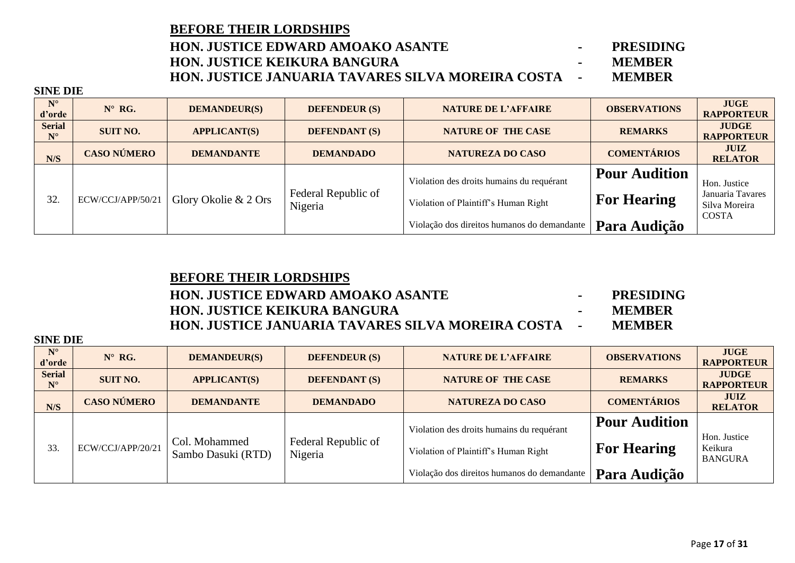| <b>BEFORE THEIR LORDSHIPS</b>                              |               |
|------------------------------------------------------------|---------------|
| <b>HON. JUSTICE EDWARD AMOAKO ASANTE</b>                   | PRESIDING     |
| <b>HON. JUSTICE KEIKURA BANGURA</b>                        | <b>MEMBER</b> |
| <b>HON. JUSTICE JANUARIA TAVARES SILVA MOREIRA COSTA -</b> | <b>MEMBER</b> |

**SINE DIE**

| $N^{\circ}$<br>d'orde        | $N^{\circ}$ RG.    | <b>DEMANDEUR(S)</b>  | <b>DEFENDEUR (S)</b>           | <b>NATURE DE L'AFFAIRE</b>                                                        | <b>OBSERVATIONS</b>                        | <b>JUGE</b><br><b>RAPPORTEUR</b>                                  |
|------------------------------|--------------------|----------------------|--------------------------------|-----------------------------------------------------------------------------------|--------------------------------------------|-------------------------------------------------------------------|
| <b>Serial</b><br>$N^{\circ}$ | <b>SUIT NO.</b>    | <b>APPLICANT(S)</b>  | <b>DEFENDANT (S)</b>           | <b>NATURE OF THE CASE</b>                                                         | <b>REMARKS</b>                             | <b>JUDGE</b><br><b>RAPPORTEUR</b>                                 |
| N/S                          | <b>CASO NÚMERO</b> | <b>DEMANDANTE</b>    | <b>DEMANDADO</b>               | <b>NATUREZA DO CASO</b>                                                           | <b>COMENTÁRIOS</b>                         | <b>JUIZ</b><br><b>RELATOR</b>                                     |
| 32.                          | ECW/CCJ/APP/50/21  | Glory Okolie & 2 Ors | Federal Republic of<br>Nigeria | Violation des droits humains du requérant<br>Violation of Plaintiff's Human Right | <b>Pour Audition</b><br><b>For Hearing</b> | Hon. Justice<br>Januaria Tavares<br>Silva Moreira<br><b>COSTA</b> |
|                              |                    |                      |                                | Violação dos direitos humanos do demandante                                       | Para Audição                               |                                                                   |

### **BEFORE THEIR LORDSHIPS**

## **HON. JUSTICE EDWARD AMOAKO ASANTE - PRESIDING HON. JUSTICE KEIKURA BANGURA - MEMBER HON. JUSTICE JANUARIA TAVARES SILVA MOREIRA COSTA - MEMBER**

| $N^{\circ}$<br>d'orde        | $N^{\circ}$ RG.    | <b>DEMANDEUR(S)</b>                 | <b>DEFENDEUR (S)</b>           | <b>NATURE DE L'AFFAIRE</b>                                                        | <b>OBSERVATIONS</b>                        | <b>JUGE</b><br><b>RAPPORTEUR</b>          |
|------------------------------|--------------------|-------------------------------------|--------------------------------|-----------------------------------------------------------------------------------|--------------------------------------------|-------------------------------------------|
| <b>Serial</b><br>$N^{\circ}$ | <b>SUIT NO.</b>    | <b>APPLICANT(S)</b>                 | <b>DEFENDANT (S)</b>           | <b>NATURE OF THE CASE</b>                                                         | <b>REMARKS</b>                             | <b>JUDGE</b><br><b>RAPPORTEUR</b>         |
| N/S                          | <b>CASO NÚMERO</b> | <b>DEMANDANTE</b>                   | <b>DEMANDADO</b>               | <b>NATUREZA DO CASO</b>                                                           | <b>COMENTÁRIOS</b>                         | <b>JUIZ</b><br><b>RELATOR</b>             |
| 33.                          | ECW/CCJ/APP/20/21  | Col. Mohammed<br>Sambo Dasuki (RTD) | Federal Republic of<br>Nigeria | Violation des droits humains du requérant<br>Violation of Plaintiff's Human Right | <b>Pour Audition</b><br><b>For Hearing</b> | Hon. Justice<br>Keikura<br><b>BANGURA</b> |
|                              |                    |                                     |                                | Violação dos direitos humanos do demandante                                       | Para Audição                               |                                           |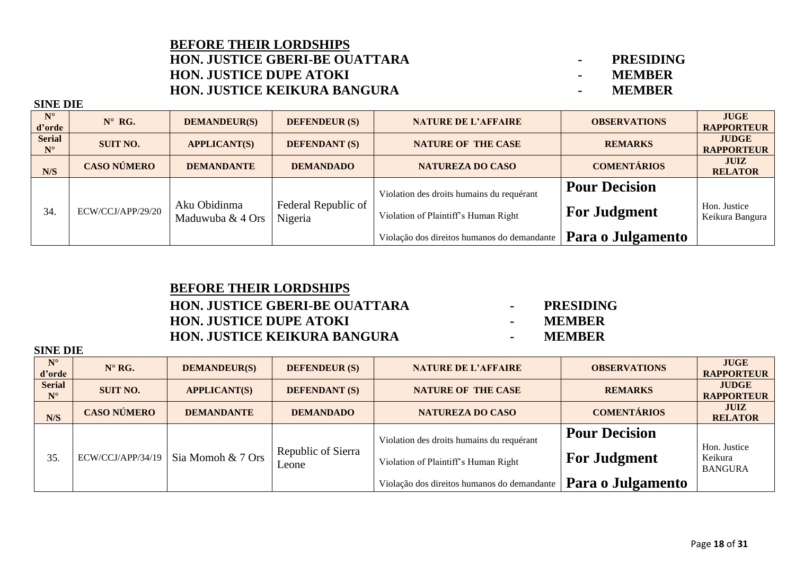### **BEFORE THEIR LORDSHIPS HON. JUSTICE GBERI-BE OUATTARA - PRESIDING HON. JUSTICE DUPE ATOKI - MEMBER HON. JUSTICE KEIKURA BANGURA - MEMBER**

**SINE DIE**

| $N^{\circ}$<br>d'orde        | $N^{\circ}$ RG.    | <b>DEMANDEUR(S)</b>              | <b>DEFENDEUR (S)</b>           | <b>NATURE DE L'AFFAIRE</b>                                                                                                       | <b>OBSERVATIONS</b>                                              | <b>JUGE</b><br><b>RAPPORTEUR</b>  |
|------------------------------|--------------------|----------------------------------|--------------------------------|----------------------------------------------------------------------------------------------------------------------------------|------------------------------------------------------------------|-----------------------------------|
| <b>Serial</b><br>$N^{\circ}$ | <b>SUIT NO.</b>    | <b>APPLICANT(S)</b>              | <b>DEFENDANT (S)</b>           | <b>NATURE OF THE CASE</b>                                                                                                        | <b>REMARKS</b>                                                   | <b>JUDGE</b><br><b>RAPPORTEUR</b> |
| N/S                          | <b>CASO NÚMERO</b> | <b>DEMANDANTE</b>                | <b>DEMANDADO</b>               | <b>NATUREZA DO CASO</b>                                                                                                          | <b>COMENTÁRIOS</b>                                               | <b>JUIZ</b><br><b>RELATOR</b>     |
| 34.                          | ECW/CCJ/APP/29/20  | Aku Obidinma<br>Maduwuba & 4 Ors | Federal Republic of<br>Nigeria | Violation des droits humains du requérant<br>Violation of Plaintiff's Human Right<br>Violação dos direitos humanos do demandante | <b>Pour Decision</b><br><b>For Judgment</b><br>Para o Julgamento | Hon. Justice<br>Keikura Bangura   |

## **BEFORE THEIR LORDSHIPS HON. JUSTICE GBERI-BE OUATTARA - PRESIDING HON. JUSTICE DUPE ATOKI - MEMBER HON. JUSTICE KEIKURA BANGURA - MEMBER**

- 
- 
- 

| <b>SINE DIE</b>              |                    |                     |                             |                                                                                   |                                             |                                           |  |  |  |
|------------------------------|--------------------|---------------------|-----------------------------|-----------------------------------------------------------------------------------|---------------------------------------------|-------------------------------------------|--|--|--|
| $N^{\circ}$<br>d'orde        | $N^{\circ}$ RG.    | <b>DEMANDEUR(S)</b> | <b>DEFENDEUR (S)</b>        | <b>NATURE DE L'AFFAIRE</b>                                                        | <b>OBSERVATIONS</b>                         | <b>JUGE</b><br><b>RAPPORTEUR</b>          |  |  |  |
| <b>Serial</b><br>$N^{\circ}$ | <b>SUIT NO.</b>    | <b>APPLICANT(S)</b> | <b>DEFENDANT (S)</b>        | <b>NATURE OF THE CASE</b>                                                         | <b>REMARKS</b>                              | <b>JUDGE</b><br><b>RAPPORTEUR</b>         |  |  |  |
| N/S                          | <b>CASO NÚMERO</b> | <b>DEMANDANTE</b>   | <b>DEMANDADO</b>            | NATUREZA DO CASO                                                                  | <b>COMENTÁRIOS</b>                          | <b>JUIZ</b><br><b>RELATOR</b>             |  |  |  |
| 35.                          | ECW/CCJ/APP/34/19  | Sia Momoh & 7 Ors   | Republic of Sierra<br>Leone | Violation des droits humains du requérant<br>Violation of Plaintiff's Human Right | <b>Pour Decision</b><br><b>For Judgment</b> | Hon. Justice<br>Keikura<br><b>BANGURA</b> |  |  |  |
|                              |                    |                     |                             | Violação dos direitos humanos do demandante                                       | Para o Julgamento                           |                                           |  |  |  |

### Page **18** of **31**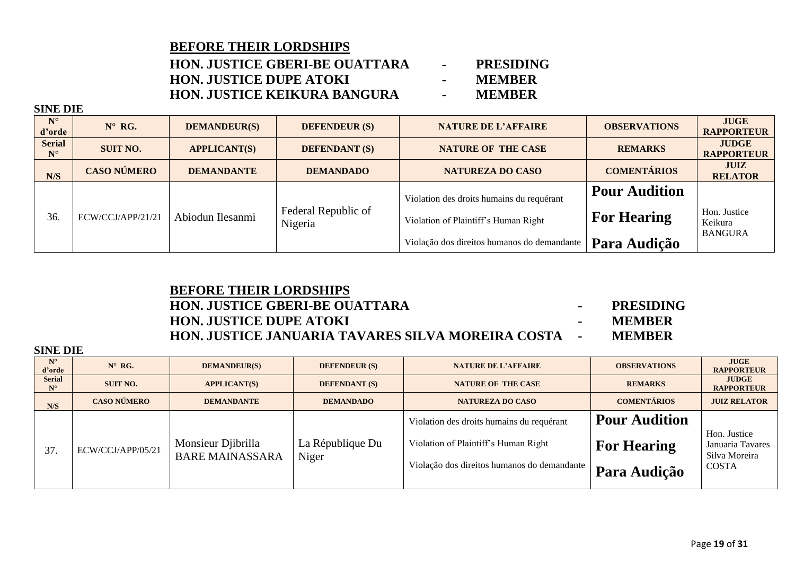**HON. JUSTICE GBERI-BE OUATTARA - PRESIDING HON. JUSTICE DUPE ATOKI - MEMBER HON. JUSTICE KEIKURA BANGURA - MEMBER**

**SINE DIE**

| $N^{\circ}$<br>d'orde        | $N^{\circ}$ RG.    | <b>DEMANDEUR(S)</b> | <b>DEFENDEUR (S)</b>           | <b>NATURE DE L'AFFAIRE</b>                  | <b>OBSERVATIONS</b>  | <b>JUGE</b><br><b>RAPPORTEUR</b>  |
|------------------------------|--------------------|---------------------|--------------------------------|---------------------------------------------|----------------------|-----------------------------------|
| <b>Serial</b><br>$N^{\circ}$ | <b>SUIT NO.</b>    | <b>APPLICANT(S)</b> | <b>DEFENDANT (S)</b>           | <b>NATURE OF THE CASE</b>                   | <b>REMARKS</b>       | <b>JUDGE</b><br><b>RAPPORTEUR</b> |
| N/S                          | <b>CASO NÚMERO</b> | <b>DEMANDANTE</b>   | <b>DEMANDADO</b>               | <b>NATUREZA DO CASO</b>                     | <b>COMENTÁRIOS</b>   | <b>JUIZ</b><br><b>RELATOR</b>     |
|                              |                    |                     |                                | Violation des droits humains du requérant   | <b>Pour Audition</b> |                                   |
| 36.                          | ECW/CCJ/APP/21/21  | Abiodun Ilesanmi    | Federal Republic of<br>Nigeria | Violation of Plaintiff's Human Right        | <b>For Hearing</b>   | Hon. Justice<br>Keikura           |
|                              |                    |                     |                                | Violação dos direitos humanos do demandante | Para Audição         | <b>BANGURA</b>                    |

## **BEFORE THEIR LORDSHIPS HON. JUSTICE GBERI-BE OUATTARA - PRESIDING HON. JUSTICE DUPE ATOKI - MEMBER HON. JUSTICE JANUARIA TAVARES SILVA MOREIRA COSTA - MEMBER**

| $N^{\circ}$<br>d'orde<br><b>Serial</b> | $N^{\circ}$ RG.<br><b>SUIT NO.</b> | <b>DEMANDEUR(S)</b><br><b>APPLICANT(S)</b>   | <b>DEFENDEUR (S)</b><br><b>DEFENDANT (S)</b> | <b>NATURE DE L'AFFAIRE</b><br><b>NATURE OF THE CASE</b>                                                                          | <b>OBSERVATIONS</b><br><b>REMARKS</b>                             | <b>JUGE</b><br><b>RAPPORTEUR</b><br><b>JUDGE</b>                  |
|----------------------------------------|------------------------------------|----------------------------------------------|----------------------------------------------|----------------------------------------------------------------------------------------------------------------------------------|-------------------------------------------------------------------|-------------------------------------------------------------------|
| $N^{\circ}$                            |                                    |                                              |                                              |                                                                                                                                  |                                                                   | <b>RAPPORTEUR</b>                                                 |
| N/S                                    | <b>CASO NÚMERO</b>                 | <b>DEMANDANTE</b>                            | <b>DEMANDADO</b>                             | NATUREZA DO CASO                                                                                                                 | <b>COMENTÁRIOS</b>                                                | <b>JUIZ RELATOR</b>                                               |
| 37.                                    | ECW/CCJ/APP/05/21                  | Monsieur Djibrilla<br><b>BARE MAINASSARA</b> | La République Du<br>Niger                    | Violation des droits humains du requérant<br>Violation of Plaintiff's Human Right<br>Violação dos direitos humanos do demandante | <b>Pour Audition</b><br><b>For Hearing</b><br><b>Para Audição</b> | Hon. Justice<br>Januaria Tavares<br>Silva Moreira<br><b>COSTA</b> |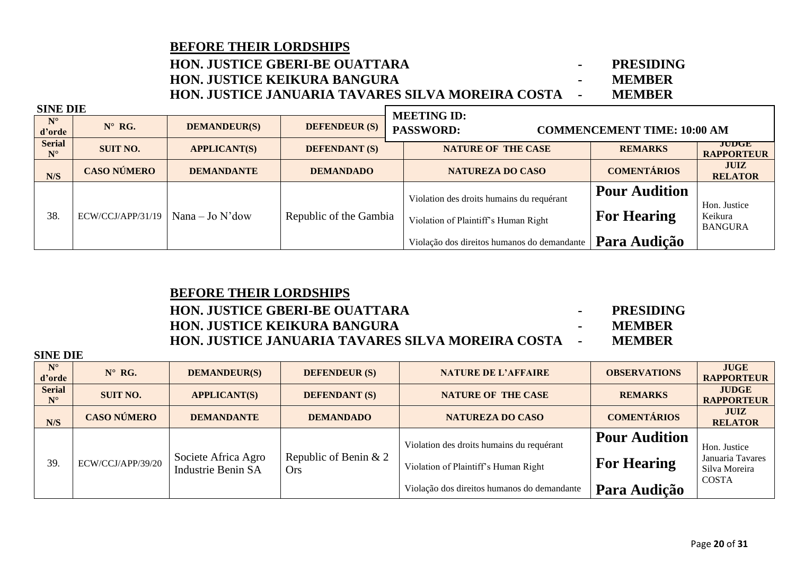### **HON. JUSTICE GBERI-BE OUATTARA - PRESIDING HON. JUSTICE KEIKURA BANGURA - MEMBER HON. JUSTICE JANUARIA TAVARES SILVA MOREIRA COSTA - MEMBER**

| <b>SINE DIE</b>              |                    |                     |                        |                                                                                   |                                            |                                           |
|------------------------------|--------------------|---------------------|------------------------|-----------------------------------------------------------------------------------|--------------------------------------------|-------------------------------------------|
| $N^{\circ}$<br>d'orde        | $N^{\circ}$ RG.    | <b>DEMANDEUR(S)</b> | <b>DEFENDEUR (S)</b>   | <b>MEETING ID:</b><br><b>PASSWORD:</b>                                            | <b>COMMENCEMENT TIME: 10:00 AM</b>         |                                           |
| <b>Serial</b><br>$N^{\circ}$ | <b>SUIT NO.</b>    | <b>APPLICANT(S)</b> | <b>DEFENDANT (S)</b>   | <b>NATURE OF THE CASE</b>                                                         | <b>REMARKS</b>                             | JUDGE<br><b>RAPPORTEUR</b>                |
| N/S                          | <b>CASO NÚMERO</b> | <b>DEMANDANTE</b>   | <b>DEMANDADO</b>       | <b>NATUREZA DO CASO</b>                                                           | <b>COMENTÁRIOS</b>                         | <b>JUIZ</b><br><b>RELATOR</b>             |
| 38.                          | ECW/CCJ/APP/31/19  | $Nana - Jo N'dow$   | Republic of the Gambia | Violation des droits humains du requérant<br>Violation of Plaintiff's Human Right | <b>Pour Audition</b><br><b>For Hearing</b> | Hon. Justice<br>Keikura<br><b>BANGURA</b> |
|                              |                    |                     |                        | Violação dos direitos humanos do demandante                                       | Para Audição                               |                                           |

### **BEFORE THEIR LORDSHIPS**

## **HON. JUSTICE GBERI-BE OUATTARA - PRESIDING HON. JUSTICE KEIKURA BANGURA - MEMBER HON. JUSTICE JANUARIA TAVARES SILVA MOREIRA COSTA - MEMBER**

| $N^{\circ}$<br>d'orde        | $N^{\circ}$ RG.    | <b>DEMANDEUR(S)</b>                       | <b>DEFENDEUR (S)</b>                | <b>NATURE DE L'AFFAIRE</b>                  | <b>OBSERVATIONS</b>  | <b>JUGE</b><br><b>RAPPORTEUR</b>  |
|------------------------------|--------------------|-------------------------------------------|-------------------------------------|---------------------------------------------|----------------------|-----------------------------------|
| <b>Serial</b><br>$N^{\circ}$ | <b>SUIT NO.</b>    | <b>APPLICANT(S)</b>                       | <b>DEFENDANT (S)</b>                | <b>NATURE OF THE CASE</b>                   | <b>REMARKS</b>       | <b>JUDGE</b><br><b>RAPPORTEUR</b> |
| N/S                          | <b>CASO NÚMERO</b> | <b>DEMANDANTE</b>                         | <b>DEMANDADO</b>                    | <b>NATUREZA DO CASO</b>                     | <b>COMENTÁRIOS</b>   | <b>JUIZ</b><br><b>RELATOR</b>     |
|                              |                    |                                           |                                     | Violation des droits humains du requérant   | <b>Pour Audition</b> | Hon. Justice                      |
| 39.                          | ECW/CCJ/APP/39/20  | Societe Africa Agro<br>Industrie Benin SA | Republic of Benin & 2<br><b>Ors</b> | Violation of Plaintiff's Human Right        | <b>For Hearing</b>   | Januaria Tavares<br>Silva Moreira |
|                              |                    |                                           |                                     | Violação dos direitos humanos do demandante | Para Audição         | <b>COSTA</b>                      |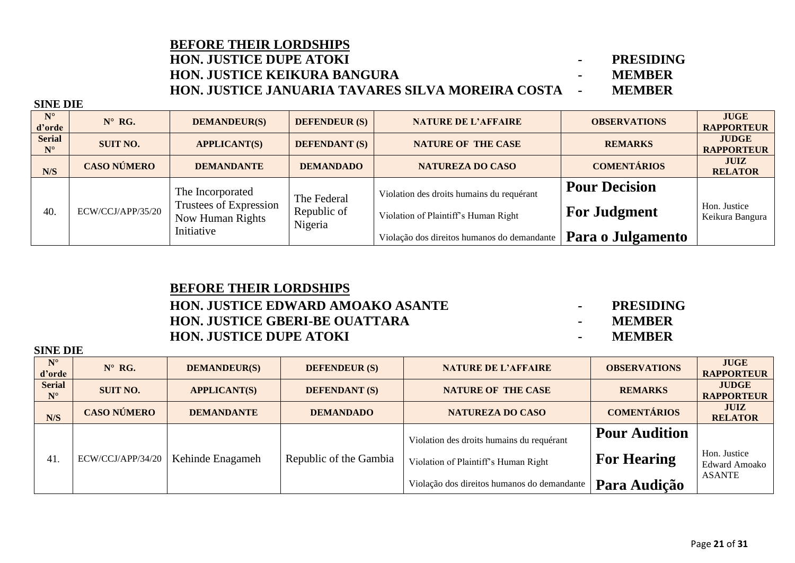### **BEFORE THEIR LORDSHIPS HON. JUSTICE DUPE ATOKI - PRESIDING HON. JUSTICE KEIKURA BANGURA - MEMBER HON. JUSTICE JANUARIA TAVARES SILVA MOREIRA COSTA - MEMBER**

**SINE DIE**

**SINE DIE**

| . <i>.</i>                   |                    |                                                                |                                       |                                                                                   |                                             |                                   |
|------------------------------|--------------------|----------------------------------------------------------------|---------------------------------------|-----------------------------------------------------------------------------------|---------------------------------------------|-----------------------------------|
| $N^{\circ}$<br>d'orde        | $N^{\circ}$ RG.    | <b>DEMANDEUR(S)</b>                                            | <b>DEFENDEUR (S)</b>                  | <b>NATURE DE L'AFFAIRE</b>                                                        | <b>OBSERVATIONS</b>                         | <b>JUGE</b><br><b>RAPPORTEUR</b>  |
| <b>Serial</b><br>$N^{\circ}$ | <b>SUIT NO.</b>    | <b>APPLICANT(S)</b>                                            | <b>DEFENDANT (S)</b>                  | <b>NATURE OF THE CASE</b>                                                         | <b>REMARKS</b>                              | <b>JUDGE</b><br><b>RAPPORTEUR</b> |
| N/S                          | <b>CASO NÚMERO</b> | <b>DEMANDANTE</b>                                              | <b>DEMANDADO</b>                      | <b>NATUREZA DO CASO</b>                                                           | <b>COMENTÁRIOS</b>                          | <b>JUIZ</b><br><b>RELATOR</b>     |
| 40.                          | ECW/CCJ/APP/35/20  | The Incorporated<br>Trustees of Expression<br>Now Human Rights | The Federal<br>Republic of<br>Nigeria | Violation des droits humains du requérant<br>Violation of Plaintiff's Human Right | <b>Pour Decision</b><br><b>For Judgment</b> | Hon. Justice<br>Keikura Bangura   |
|                              |                    | Initiative                                                     |                                       | Violação dos direitos humanos do demandante                                       | Para o Julgamento                           |                                   |

## **BEFORE THEIR LORDSHIPS HON. JUSTICE EDWARD AMOAKO ASANTE - PRESIDING HON. JUSTICE GBERI-BE OUATTARA - MEMBER HON. JUSTICE DUPE ATOKI - MEMBER**

- 
- 
- 

| ЫМЕ ГЛЕ                      |                    |                     |                        |                                             |                      |                                   |
|------------------------------|--------------------|---------------------|------------------------|---------------------------------------------|----------------------|-----------------------------------|
| $N^{\circ}$<br>d'orde        | $N^{\circ}$ RG.    | <b>DEMANDEUR(S)</b> | <b>DEFENDEUR (S)</b>   | <b>NATURE DE L'AFFAIRE</b>                  | <b>OBSERVATIONS</b>  | <b>JUGE</b><br><b>RAPPORTEUR</b>  |
| <b>Serial</b><br>$N^{\circ}$ | <b>SUIT NO.</b>    | <b>APPLICANT(S)</b> | <b>DEFENDANT (S)</b>   | <b>NATURE OF THE CASE</b>                   | <b>REMARKS</b>       | <b>JUDGE</b><br><b>RAPPORTEUR</b> |
| N/S                          | <b>CASO NÚMERO</b> | <b>DEMANDANTE</b>   | <b>DEMANDADO</b>       | <b>NATUREZA DO CASO</b>                     | <b>COMENTÁRIOS</b>   | <b>JUIZ</b><br><b>RELATOR</b>     |
|                              |                    |                     |                        | Violation des droits humains du requérant   | <b>Pour Audition</b> |                                   |
| 41.                          | ECW/CCJ/APP/34/20  | Kehinde Enagameh    | Republic of the Gambia | Violation of Plaintiff's Human Right        | <b>For Hearing</b>   | Hon. Justice<br>Edward Amoako     |
|                              |                    |                     |                        | Violação dos direitos humanos do demandante | Para Audição         | <b>ASANTE</b>                     |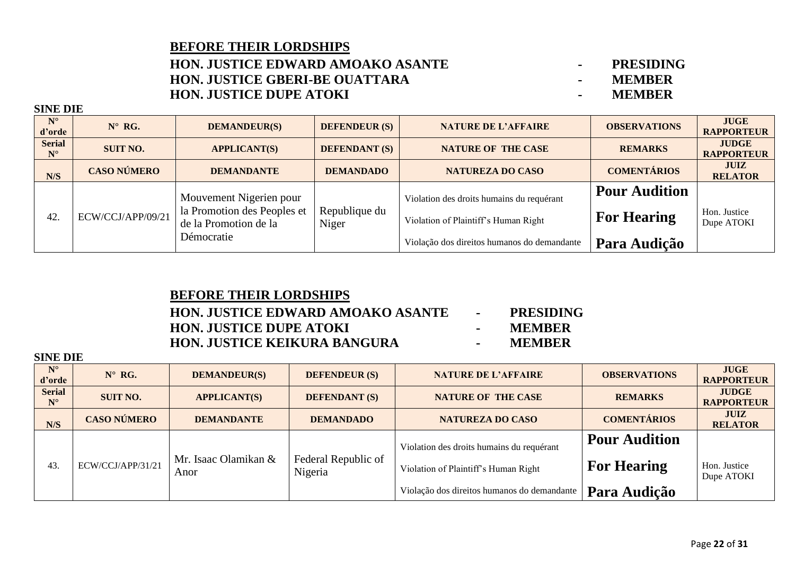### **HON. JUSTICE EDWARD AMOAKO ASANTE - PRESIDING HON. JUSTICE GBERI-BE OUATTARA - MEMBER HON. JUSTICE DUPE ATOKI - MEMBER**

**SINE DIE**

| $N^{\circ}$<br>d'orde        | $N^{\circ}$ RG.    | <b>DEMANDEUR(S)</b>                                    | <b>DEFENDEUR (S)</b> | <b>NATURE DE L'AFFAIRE</b>                  | <b>OBSERVATIONS</b>  | <b>JUGE</b><br><b>RAPPORTEUR</b>  |
|------------------------------|--------------------|--------------------------------------------------------|----------------------|---------------------------------------------|----------------------|-----------------------------------|
| <b>Serial</b><br>$N^{\circ}$ | <b>SUIT NO.</b>    | <b>APPLICANT(S)</b>                                    | <b>DEFENDANT (S)</b> | <b>NATURE OF THE CASE</b>                   | <b>REMARKS</b>       | <b>JUDGE</b><br><b>RAPPORTEUR</b> |
| N/S                          | <b>CASO NÚMERO</b> | <b>DEMANDANTE</b>                                      | <b>DEMANDADO</b>     | <b>NATUREZA DO CASO</b>                     | <b>COMENTÁRIOS</b>   | <b>JUIZ</b><br><b>RELATOR</b>     |
|                              |                    | Mouvement Nigerien pour<br>la Promotion des Peoples et | Republique du        | Violation des droits humains du requérant   | <b>Pour Audition</b> | Hon. Justice                      |
| 42.                          | ECW/CCJ/APP/09/21  | de la Promotion de la<br>Démocratie                    | Niger                | Violation of Plaintiff's Human Right        | <b>For Hearing</b>   | Dupe ATOKI                        |
|                              |                    |                                                        |                      | Violação dos direitos humanos do demandante | Para Audição         |                                   |

### **BEFORE THEIR LORDSHIPS HON. JUSTICE EDWARD AMOAKO ASANTE - PRESIDING HON. JUSTICE DUPE ATOKI - MEMBER HON. JUSTICE KEIKURA BANGURA - MEMBER**

| $N^{\circ}$                           | $N^{\circ}$ RG.    |                              |                                |                                                                                                                                  |                                                            |                                   |
|---------------------------------------|--------------------|------------------------------|--------------------------------|----------------------------------------------------------------------------------------------------------------------------------|------------------------------------------------------------|-----------------------------------|
| d'orde                                |                    | <b>DEMANDEUR(S)</b>          | <b>DEFENDEUR (S)</b>           | <b>NATURE DE L'AFFAIRE</b>                                                                                                       | <b>OBSERVATIONS</b>                                        | <b>JUGE</b><br><b>RAPPORTEUR</b>  |
| <b>Serial</b><br>$\mathbf{N}^{\circ}$ | <b>SUIT NO.</b>    | <b>APPLICANT(S)</b>          | <b>DEFENDANT (S)</b>           | <b>NATURE OF THE CASE</b>                                                                                                        | <b>REMARKS</b>                                             | <b>JUDGE</b><br><b>RAPPORTEUR</b> |
| N/S                                   | <b>CASO NÚMERO</b> | <b>DEMANDANTE</b>            | <b>DEMANDADO</b>               | <b>NATUREZA DO CASO</b>                                                                                                          | <b>COMENTÁRIOS</b>                                         | <b>JUIZ</b><br><b>RELATOR</b>     |
| 43.                                   | ECW/CCJ/APP/31/21  | Mr. Isaac Olamikan &<br>Anor | Federal Republic of<br>Nigeria | Violation des droits humains du requérant<br>Violation of Plaintiff's Human Right<br>Violação dos direitos humanos do demandante | <b>Pour Audition</b><br><b>For Hearing</b><br>Para Audição | Hon. Justice<br>Dupe ATOKI        |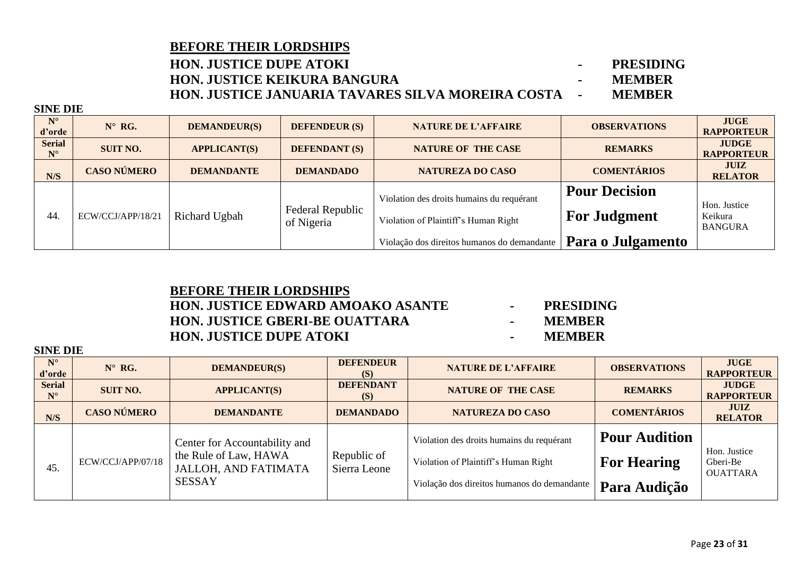## **HON. JUSTICE DUPE ATOKI - PRESIDING HON. JUSTICE KEIKURA BANGURA - MEMBER HON. JUSTICE JANUARIA TAVARES SILVA MOREIRA COSTA - MEMBER**

**SINE DIE**

**SINE DIE**

| $N^{\circ}$<br>d'orde                 | $N^{\circ}$ RG.    | <b>DEMANDEUR(S)</b> | <b>DEFENDEUR (S)</b>           | <b>NATURE DE L'AFFAIRE</b>                  | <b>OBSERVATIONS</b>  | <b>JUGE</b><br><b>RAPPORTEUR</b>          |
|---------------------------------------|--------------------|---------------------|--------------------------------|---------------------------------------------|----------------------|-------------------------------------------|
| <b>Serial</b><br>$\mathbf{N}^{\circ}$ | <b>SUIT NO.</b>    | <b>APPLICANT(S)</b> | <b>DEFENDANT (S)</b>           | <b>NATURE OF THE CASE</b>                   | <b>REMARKS</b>       | <b>JUDGE</b><br><b>RAPPORTEUR</b>         |
| N/S                                   | <b>CASO NÚMERO</b> | <b>DEMANDANTE</b>   | <b>DEMANDADO</b>               | <b>NATUREZA DO CASO</b>                     | <b>COMENTÁRIOS</b>   | <b>JUIZ</b><br><b>RELATOR</b>             |
|                                       |                    |                     |                                | Violation des droits humains du requérant   | <b>Pour Decision</b> |                                           |
| 44.                                   | ECW/CCJ/APP/18/21  | Richard Ugbah       | Federal Republic<br>of Nigeria | Violation of Plaintiff's Human Right        | <b>For Judgment</b>  | Hon. Justice<br>Keikura<br><b>BANGURA</b> |
|                                       |                    |                     |                                | Violação dos direitos humanos do demandante | Para o Julgamento    |                                           |

### **BEFORE THEIR LORDSHIPS HON. JUSTICE EDWARD AMOAKO ASANTE - PRESIDING HON. JUSTICE GBERI-BE OUATTARA - MEMBER HON. JUSTICE DUPE ATOKI - MEMBER**

- 
- 
- 

| $N^{\circ}$<br>d'orde        | $N^{\circ}$ RG.    | <b>DEMANDEUR(S)</b>                                                                                    | <b>DEFENDEUR</b><br>(S)     | <b>NATURE DE L'AFFAIRE</b>                                                                                                       | <b>OBSERVATIONS</b>                                        | <b>JUGE</b><br><b>RAPPORTEUR</b>            |
|------------------------------|--------------------|--------------------------------------------------------------------------------------------------------|-----------------------------|----------------------------------------------------------------------------------------------------------------------------------|------------------------------------------------------------|---------------------------------------------|
| <b>Serial</b><br>$N^{\circ}$ | <b>SUIT NO.</b>    | <b>APPLICANT(S)</b>                                                                                    | <b>DEFENDANT</b><br>(S)     | <b>NATURE OF THE CASE</b>                                                                                                        | <b>REMARKS</b>                                             | <b>JUDGE</b><br><b>RAPPORTEUR</b>           |
| N/S                          | <b>CASO NÚMERO</b> | <b>DEMANDANTE</b>                                                                                      | <b>DEMANDADO</b>            | <b>NATUREZA DO CASO</b>                                                                                                          | <b>COMENTÁRIOS</b>                                         | <b>JUIZ</b><br><b>RELATOR</b>               |
| 45.                          | ECW/CCJ/APP/07/18  | Center for Accountability and<br>the Rule of Law, HAWA<br><b>JALLOH, AND FATIMATA</b><br><b>SESSAY</b> | Republic of<br>Sierra Leone | Violation des droits humains du requérant<br>Violation of Plaintiff's Human Right<br>Violação dos direitos humanos do demandante | <b>Pour Audition</b><br><b>For Hearing</b><br>Para Audição | Hon. Justice<br>Gberi-Be<br><b>OUATTARA</b> |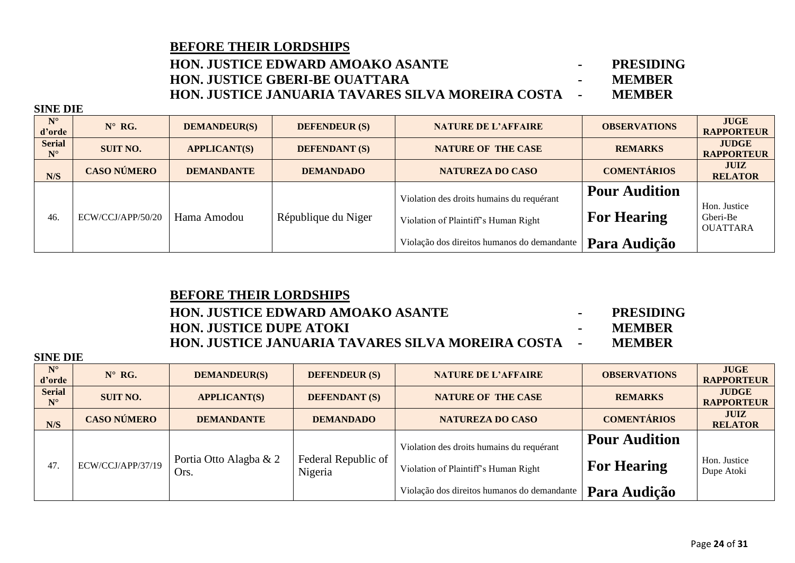### **HON. JUSTICE EDWARD AMOAKO ASANTE - PRESIDING HON. JUSTICE GBERI-BE OUATTARA - MEMBER HON. JUSTICE JANUARIA TAVARES SILVA MOREIRA COSTA - MEMBER**

**SINE DIE**

| $N^{\circ}$<br>d'orde        | $N^{\circ}$ RG.    | <b>DEMANDEUR(S)</b> | <b>DEFENDEUR</b> (S) | <b>NATURE DE L'AFFAIRE</b>                  | <b>OBSERVATIONS</b>  | <b>JUGE</b><br><b>RAPPORTEUR</b>            |
|------------------------------|--------------------|---------------------|----------------------|---------------------------------------------|----------------------|---------------------------------------------|
| <b>Serial</b><br>$N^{\circ}$ | <b>SUIT NO.</b>    | <b>APPLICANT(S)</b> | <b>DEFENDANT</b> (S) | <b>NATURE OF THE CASE</b>                   | <b>REMARKS</b>       | <b>JUDGE</b><br><b>RAPPORTEUR</b>           |
| N/S                          | <b>CASO NÚMERO</b> | <b>DEMANDANTE</b>   | <b>DEMANDADO</b>     | <b>NATUREZA DO CASO</b>                     | <b>COMENTÁRIOS</b>   | <b>JUIZ</b><br><b>RELATOR</b>               |
|                              |                    |                     |                      | Violation des droits humains du requérant   | <b>Pour Audition</b> |                                             |
| 46.                          | ECW/CCJ/APP/50/20  | Hama Amodou         | République du Niger  | Violation of Plaintiff's Human Right        | <b>For Hearing</b>   | Hon. Justice<br>Gberi-Be<br><b>OUATTARA</b> |
|                              |                    |                     |                      | Violação dos direitos humanos do demandante | Para Audição         |                                             |

## **BEFORE THEIR LORDSHIPS HON. JUSTICE EDWARD AMOAKO ASANTE - PRESIDING HON. JUSTICE DUPE ATOKI - MEMBER HON. JUSTICE JANUARIA TAVARES SILVA MOREIRA COSTA - MEMBER**

| $N^{\circ}$<br>d'orde        | $N^{\circ}$ RG.    | <b>DEMANDEUR(S)</b>            | <b>DEFENDEUR (S)</b>           | <b>NATURE DE L'AFFAIRE</b>                                                                                                       | <b>OBSERVATIONS</b>                                        | <b>JUGE</b><br><b>RAPPORTEUR</b>  |
|------------------------------|--------------------|--------------------------------|--------------------------------|----------------------------------------------------------------------------------------------------------------------------------|------------------------------------------------------------|-----------------------------------|
| <b>Serial</b><br>$N^{\circ}$ | <b>SUIT NO.</b>    | <b>APPLICANT(S)</b>            | <b>DEFENDANT (S)</b>           | <b>NATURE OF THE CASE</b>                                                                                                        | <b>REMARKS</b>                                             | <b>JUDGE</b><br><b>RAPPORTEUR</b> |
| N/S                          | <b>CASO NÚMERO</b> | <b>DEMANDANTE</b>              | <b>DEMANDADO</b>               | <b>NATUREZA DO CASO</b>                                                                                                          | <b>COMENTÁRIOS</b>                                         | <b>JUIZ</b><br><b>RELATOR</b>     |
| 47.                          | ECW/CCJ/APP/37/19  | Portia Otto Alagba & 2<br>Ors. | Federal Republic of<br>Nigeria | Violation des droits humains du requérant<br>Violation of Plaintiff's Human Right<br>Violação dos direitos humanos do demandante | <b>Pour Audition</b><br><b>For Hearing</b><br>Para Audição | Hon. Justice<br>Dupe Atoki        |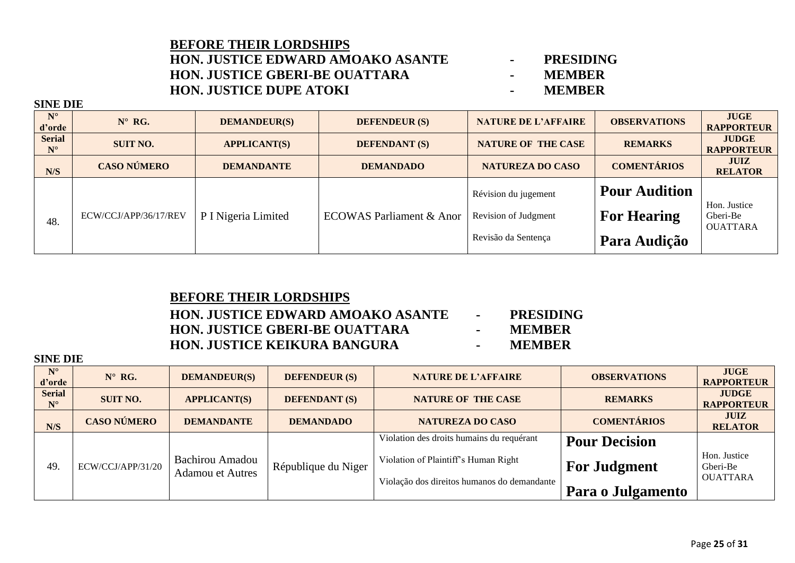### **BEFORE THEIR LORDSHIPS HON. JUSTICE EDWARD AMOAKO ASANTE - PRESIDING HON. JUSTICE GBERI-BE OUATTARA - MEMBER HON. JUSTICE DUPE ATOKI - MEMBER**

**SINE DIE**

| $N^{\circ}$<br>d'orde        | $N^{\circ}$ RG.       | <b>DEMANDEUR(S)</b> | <b>DEFENDEUR (S)</b>                | <b>NATURE DE L'AFFAIRE</b> | <b>OBSERVATIONS</b>  | <b>JUGE</b><br><b>RAPPORTEUR</b>  |
|------------------------------|-----------------------|---------------------|-------------------------------------|----------------------------|----------------------|-----------------------------------|
| <b>Serial</b><br>$N^{\circ}$ | <b>SUIT NO.</b>       | <b>APPLICANT(S)</b> | <b>DEFENDANT</b> (S)                | <b>NATURE OF THE CASE</b>  | <b>REMARKS</b>       | <b>JUDGE</b><br><b>RAPPORTEUR</b> |
| N/S                          | <b>CASO NÚMERO</b>    | <b>DEMANDANTE</b>   | <b>DEMANDADO</b>                    | <b>NATUREZA DO CASO</b>    | <b>COMENTÁRIOS</b>   | JUIZ<br><b>RELATOR</b>            |
|                              |                       |                     |                                     | Révision du jugement       | <b>Pour Audition</b> |                                   |
| 48.                          | ECW/CCJ/APP/36/17/REV | P I Nigeria Limited | <b>ECOWAS Parliament &amp; Anor</b> | Revision of Judgment       | <b>For Hearing</b>   | Hon. Justice<br>Gberi-Be          |
|                              |                       |                     |                                     | Revisão da Sentença        | Para Audição         | <b>OUATTARA</b>                   |

## **BEFORE THEIR LORDSHIPS HON. JUSTICE EDWARD AMOAKO ASANTE - PRESIDING HON. JUSTICE GBERI-BE OUATTARA - MEMBER HON. JUSTICE KEIKURA BANGURA - MEMBER**

| $N^{\circ}$<br>d'orde        | $N^{\circ}$ RG.    | <b>DEMANDEUR(S)</b>                        | <b>DEFENDEUR (S)</b> | <b>NATURE DE L'AFFAIRE</b>                                                          | <b>OBSERVATIONS</b>  | <b>JUGE</b><br><b>RAPPORTEUR</b>            |
|------------------------------|--------------------|--------------------------------------------|----------------------|-------------------------------------------------------------------------------------|----------------------|---------------------------------------------|
| <b>Serial</b><br>$N^{\circ}$ | <b>SUIT NO.</b>    | <b>APPLICANT(S)</b>                        | <b>DEFENDANT (S)</b> | <b>NATURE OF THE CASE</b>                                                           | <b>REMARKS</b>       | <b>JUDGE</b><br><b>RAPPORTEUR</b>           |
| N/S                          | <b>CASO NÚMERO</b> | <b>DEMANDANTE</b>                          | <b>DEMANDADO</b>     | <b>NATUREZA DO CASO</b>                                                             | <b>COMENTÁRIOS</b>   | <b>JUIZ</b><br><b>RELATOR</b>               |
|                              |                    |                                            |                      | Violation des droits humains du requérant                                           | <b>Pour Decision</b> |                                             |
| 49.                          | ECW/CCJ/APP/31/20  | Bachirou Amadou<br><b>Adamou et Autres</b> | République du Niger  | Violation of Plaintiff's Human Right<br>Violação dos direitos humanos do demandante | <b>For Judgment</b>  | Hon. Justice<br>Gberi-Be<br><b>OUATTARA</b> |
|                              |                    |                                            |                      |                                                                                     | Para o Julgamento    |                                             |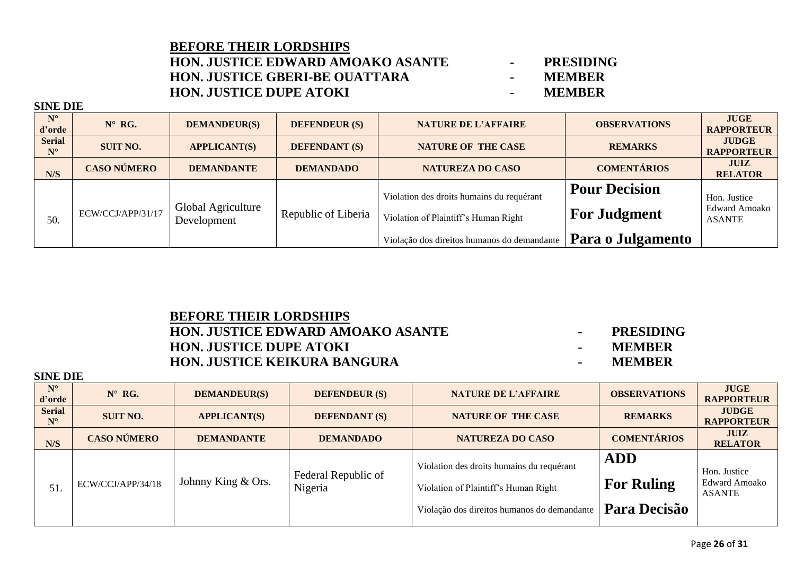### **BEFORE THEIR LORDSHIPS HON. JUSTICE EDWARD AMOAKO ASANTE - PRESIDING HON. JUSTICE GBERI-BE OUATTARA -HON. JUSTICE DUPE ATOKI - MEMBER**

**SINE DIE**

| $N^{\circ}$<br>d'orde        | $N^{\circ}$ RG.    | <b>DEMANDEUR(S)</b>               | <b>DEFENDEUR (S)</b> | <b>NATURE DE L'AFFAIRE</b>                | <b>OBSERVATIONS</b>  | <b>JUGE</b><br><b>RAPPORTEUR</b>  |
|------------------------------|--------------------|-----------------------------------|----------------------|-------------------------------------------|----------------------|-----------------------------------|
| <b>Serial</b><br>$N^{\circ}$ | <b>SUIT NO.</b>    | <b>APPLICANT(S)</b>               | <b>DEFENDANT (S)</b> | <b>NATURE OF THE CASE</b>                 | <b>REMARKS</b>       | <b>JUDGE</b><br><b>RAPPORTEUR</b> |
| N/S                          | <b>CASO NÚMERO</b> | <b>DEMANDANTE</b>                 | <b>DEMANDADO</b>     | <b>NATUREZA DO CASO</b>                   | <b>COMENTÁRIOS</b>   | <b>JUIZ</b><br><b>RELATOR</b>     |
|                              |                    |                                   |                      | Violation des droits humains du requérant | <b>Pour Decision</b> | Hon. Justice                      |
| 50.                          | ECW/CCJ/APP/31/17  | Global Agriculture<br>Development | Republic of Liberia  | Violation of Plaintiff's Human Right      | <b>For Judgment</b>  | Edward Amoako<br><b>ASANTE</b>    |
|                              |                    |                                   |                      |                                           | Para o Julgamento    |                                   |

| <b>BEFORE THEIR LORDSHIPS</b>            |
|------------------------------------------|
| <b>HON. JUSTICE EDWARD AMOAKO ASANTE</b> |
| <b>HON. JUSTICE DUPE ATOKI</b>           |
| <b>HON. JUSTICE KEIKURA BANGURA</b>      |

- **-** PRESIDING **HON. JUSTICE DUPE ATOKI - MEMBER**
- **MEMBER**

| $N^{\circ}$<br>d'orde        | $N^{\circ}$ RG.    | <b>DEMANDEUR(S)</b> | <b>DEFENDEUR (S)</b>           | <b>NATURE DE L'AFFAIRE</b>                                                                                                       | <b>OBSERVATIONS</b>                             | <b>JUGE</b><br><b>RAPPORTEUR</b>               |
|------------------------------|--------------------|---------------------|--------------------------------|----------------------------------------------------------------------------------------------------------------------------------|-------------------------------------------------|------------------------------------------------|
| <b>Serial</b><br>$N^{\circ}$ | <b>SUIT NO.</b>    | <b>APPLICANT(S)</b> | <b>DEFENDANT (S)</b>           | <b>NATURE OF THE CASE</b>                                                                                                        | <b>REMARKS</b>                                  | <b>JUDGE</b><br><b>RAPPORTEUR</b>              |
| N/S                          | <b>CASO NÚMERO</b> | <b>DEMANDANTE</b>   | <b>DEMANDADO</b>               | <b>NATUREZA DO CASO</b>                                                                                                          | <b>COMENTÁRIOS</b>                              | <b>JUIZ</b><br><b>RELATOR</b>                  |
| 51.                          | ECW/CCJ/APP/34/18  | Johnny King & Ors.  | Federal Republic of<br>Nigeria | Violation des droits humains du requérant<br>Violation of Plaintiff's Human Right<br>Violação dos direitos humanos do demandante | <b>ADD</b><br><b>For Ruling</b><br>Para Decisão | Hon. Justice<br>Edward Amoako<br><b>ASANTE</b> |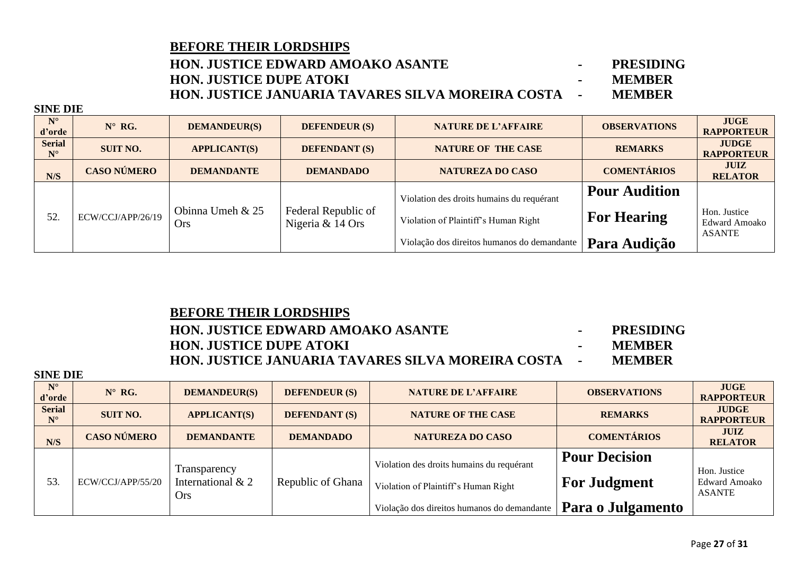### **HON. JUSTICE EDWARD AMOAKO ASANTE - PRESIDING HON. JUSTICE DUPE ATOKI - MEMBER HON. JUSTICE JANUARIA TAVARES SILVA MOREIRA COSTA - MEMBER**

**SINE DIE**

| $N^{\circ}$<br>d'orde        | $N^{\circ}$ RG.    | <b>DEMANDEUR(S)</b>            | <b>DEFENDEUR (S)</b>                    | <b>NATURE DE L'AFFAIRE</b>                  | <b>OBSERVATIONS</b>  | <b>JUGE</b><br><b>RAPPORTEUR</b>  |
|------------------------------|--------------------|--------------------------------|-----------------------------------------|---------------------------------------------|----------------------|-----------------------------------|
| <b>Serial</b><br>$N^{\circ}$ | <b>SUIT NO.</b>    | <b>APPLICANT(S)</b>            | <b>DEFENDANT (S)</b>                    | <b>NATURE OF THE CASE</b>                   | <b>REMARKS</b>       | <b>JUDGE</b><br><b>RAPPORTEUR</b> |
| N/S                          | <b>CASO NÚMERO</b> | <b>DEMANDANTE</b>              | <b>DEMANDADO</b>                        | <b>NATUREZA DO CASO</b>                     | <b>COMENTÁRIOS</b>   | <b>JUIZ</b><br><b>RELATOR</b>     |
|                              |                    |                                |                                         | Violation des droits humains du requérant   | <b>Pour Audition</b> |                                   |
| 52.                          | ECW/CCJ/APP/26/19  | Obinna Umeh & 25<br><b>Ors</b> | Federal Republic of<br>Nigeria & 14 Ors | Violation of Plaintiff's Human Right        | <b>For Hearing</b>   | Hon. Justice<br>Edward Amoako     |
|                              |                    |                                |                                         | Violação dos direitos humanos do demandante | Para Audição         | ASANTE                            |

| <b>BEFORE THEIR LORDSHIPS</b>                              |               |
|------------------------------------------------------------|---------------|
| <b>HON. JUSTICE EDWARD AMOAKO ASANTE</b>                   | PRESIDING     |
| <b>HON. JUSTICE DUPE ATOKI</b>                             | <b>MEMBER</b> |
| <b>HON. JUSTICE JANUARIA TAVARES SILVA MOREIRA COSTA -</b> | <b>MEMBER</b> |

| $N^{\circ}$<br>d'orde        | $N^{\circ}$ RG.    | <b>DEMANDEUR(S)</b>                             | <b>DEFENDEUR (S)</b> | <b>NATURE DE L'AFFAIRE</b>                  | <b>OBSERVATIONS</b>  | <b>JUGE</b><br><b>RAPPORTEUR</b>                      |
|------------------------------|--------------------|-------------------------------------------------|----------------------|---------------------------------------------|----------------------|-------------------------------------------------------|
| <b>Serial</b><br>$N^{\circ}$ | <b>SUIT NO.</b>    | <b>APPLICANT(S)</b>                             | <b>DEFENDANT (S)</b> | <b>NATURE OF THE CASE</b>                   | <b>REMARKS</b>       | <b>JUDGE</b><br><b>RAPPORTEUR</b>                     |
| N/S                          | <b>CASO NÚMERO</b> | <b>DEMANDANTE</b>                               | <b>DEMANDADO</b>     | NATUREZA DO CASO                            | <b>COMENTÁRIOS</b>   | <b>JUIZ</b><br><b>RELATOR</b>                         |
| 53.                          | ECW/CCJ/APP/55/20  | Transparency<br>International & 2<br><b>Ors</b> | Republic of Ghana    | Violation des droits humains du requérant   | <b>Pour Decision</b> |                                                       |
|                              |                    |                                                 |                      | Violation of Plaintiff's Human Right        | <b>For Judgment</b>  | Hon. Justice<br><b>Edward Amoako</b><br><b>ASANTE</b> |
|                              |                    |                                                 |                      | Violação dos direitos humanos do demandante | Para o Julgamento    |                                                       |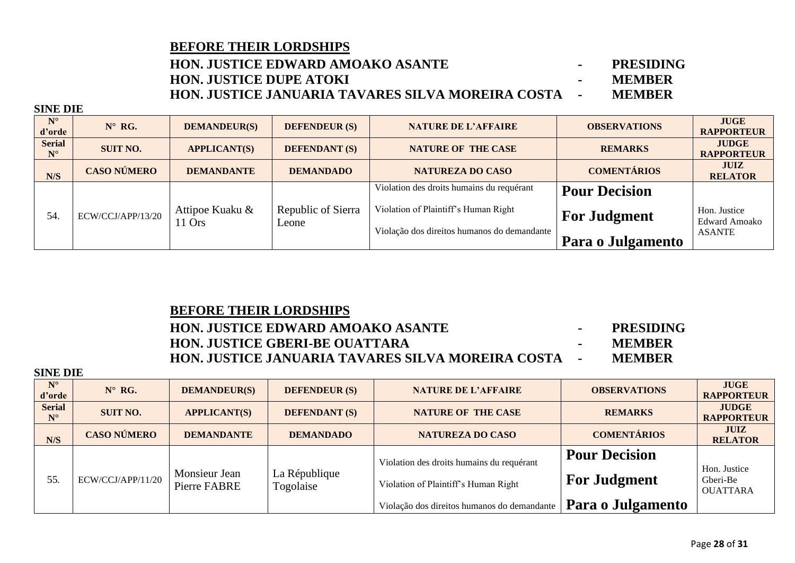### **HON. JUSTICE EDWARD AMOAKO ASANTE - PRESIDING HON. JUSTICE DUPE ATOKI - MEMBER HON. JUSTICE JANUARIA TAVARES SILVA MOREIRA COSTA - MEMBER**

**SINE DIE**

| $N^{\circ}$<br>d'orde                 | $N^{\circ}$ RG.    | <b>DEMANDEUR(S)</b> | <b>DEFENDEUR (S)</b> | <b>NATURE DE L'AFFAIRE</b>                  | <b>OBSERVATIONS</b>  | <b>JUGE</b><br><b>RAPPORTEUR</b>     |
|---------------------------------------|--------------------|---------------------|----------------------|---------------------------------------------|----------------------|--------------------------------------|
| <b>Serial</b><br>$\mathbf{N}^{\circ}$ | <b>SUIT NO.</b>    | <b>APPLICANT(S)</b> | <b>DEFENDANT (S)</b> | <b>NATURE OF THE CASE</b>                   | <b>REMARKS</b>       | <b>JUDGE</b><br><b>RAPPORTEUR</b>    |
| N/S                                   | <b>CASO NÚMERO</b> | <b>DEMANDANTE</b>   | <b>DEMANDADO</b>     | <b>NATUREZA DO CASO</b>                     | <b>COMENTÁRIOS</b>   | <b>JUIZ</b><br><b>RELATOR</b>        |
|                                       |                    |                     |                      | Violation des droits humains du requérant   | <b>Pour Decision</b> |                                      |
| 54.                                   | ECW/CCJ/APP/13/20  | Attipoe Kuaku &     | Republic of Sierra   | Violation of Plaintiff's Human Right        | <b>For Judgment</b>  | Hon. Justice<br><b>Edward Amoako</b> |
|                                       |                    | $11$ Ors            | Leone                | Violação dos direitos humanos do demandante | Para o Julgamento    | <b>ASANTE</b>                        |

### **BEFORE THEIR LORDSHIPS**

### **HON. JUSTICE EDWARD AMOAKO ASANTE - PRESIDING HON. JUSTICE GBERI-BE OUATTARA - MEMBER HON. JUSTICE JANUARIA TAVARES SILVA MOREIRA COSTA - MEMBER**

| $N^{\circ}$<br>d'orde        | $N^{\circ}$ RG.    | <b>DEMANDEUR(S)</b>           | <b>DEFENDEUR (S)</b>       | <b>NATURE DE L'AFFAIRE</b>                  | <b>OBSERVATIONS</b>  | <b>JUGE</b><br><b>RAPPORTEUR</b>            |
|------------------------------|--------------------|-------------------------------|----------------------------|---------------------------------------------|----------------------|---------------------------------------------|
| <b>Serial</b><br>$N^{\circ}$ | <b>SUIT NO.</b>    | <b>APPLICANT(S)</b>           | <b>DEFENDANT (S)</b>       | <b>NATURE OF THE CASE</b>                   | <b>REMARKS</b>       | <b>JUDGE</b><br><b>RAPPORTEUR</b>           |
| N/S                          | <b>CASO NÚMERO</b> | <b>DEMANDANTE</b>             | <b>DEMANDADO</b>           | <b>NATUREZA DO CASO</b>                     | <b>COMENTÁRIOS</b>   | <b>JUIZ</b><br><b>RELATOR</b>               |
| 55.                          | ECW/CCJ/APP/11/20  | Monsieur Jean<br>Pierre FABRE | La République<br>Togolaise | Violation des droits humains du requérant   | <b>Pour Decision</b> |                                             |
|                              |                    |                               |                            | Violation of Plaintiff's Human Right        | <b>For Judgment</b>  | Hon. Justice<br>Gberi-Be<br><b>OUATTARA</b> |
|                              |                    |                               |                            | Violação dos direitos humanos do demandante | Para o Julgamento    |                                             |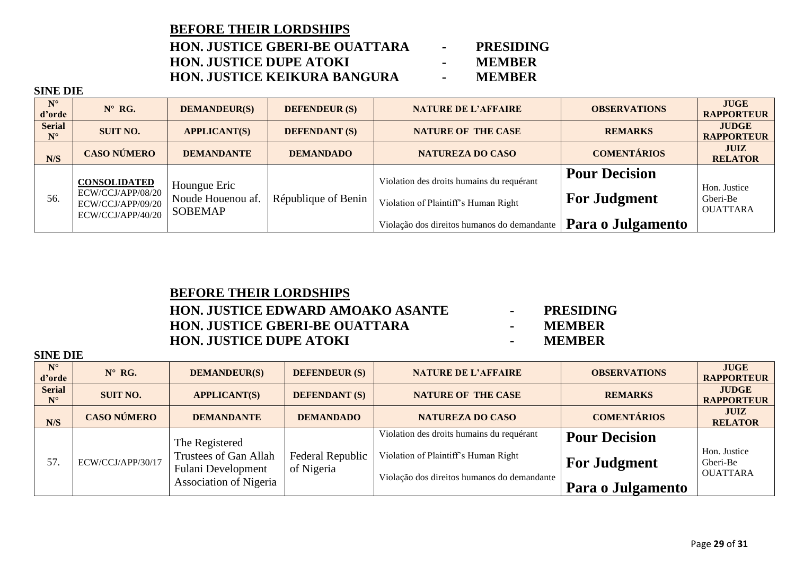### **BEFORE THEIR LORDSHIPS HON. JUSTICE GBERI-BE OUATTARA - PRESIDING HON. JUSTICE DUPE ATOKI - MEMBER HON. JUSTICE KEIKURA BANGURA · ·**

### **SINE DIE**

| $N^{\circ}$<br>d'orde        | $N^{\circ}$ RG.                                                                    | <b>DEMANDEUR(S)</b>                                 | <b>DEFENDEUR (S)</b> | <b>NATURE DE L'AFFAIRE</b>                  | <b>OBSERVATIONS</b>  | <b>JUGE</b><br><b>RAPPORTEUR</b>            |
|------------------------------|------------------------------------------------------------------------------------|-----------------------------------------------------|----------------------|---------------------------------------------|----------------------|---------------------------------------------|
| <b>Serial</b><br>$N^{\circ}$ | <b>SUIT NO.</b>                                                                    | <b>APPLICANT(S)</b>                                 | <b>DEFENDANT (S)</b> | <b>NATURE OF THE CASE</b>                   | <b>REMARKS</b>       | <b>JUDGE</b><br><b>RAPPORTEUR</b>           |
| N/S                          | <b>CASO NÚMERO</b>                                                                 | <b>DEMANDANTE</b>                                   | <b>DEMANDADO</b>     | <b>NATUREZA DO CASO</b>                     | <b>COMENTÁRIOS</b>   | <b>JUIZ</b><br><b>RELATOR</b>               |
|                              | <b>CONSOLIDATED</b><br>ECW/CCJ/APP/08/20<br>ECW/CCJ/APP/09/20<br>ECW/CCJ/APP/40/20 | Houngue Eric<br>Noude Houenou af.<br><b>SOBEMAP</b> | République of Benin  | Violation des droits humains du requérant   | <b>Pour Decision</b> |                                             |
| 56.                          |                                                                                    |                                                     |                      | Violation of Plaintiff's Human Right        | <b>For Judgment</b>  | Hon. Justice<br>Gberi-Be<br><b>OUATTARA</b> |
|                              |                                                                                    |                                                     |                      | Violação dos direitos humanos do demandante | Para o Julgamento    |                                             |

### **BEFORE THEIR LORDSHIPS HON. JUSTICE EDWARD AMOAKO ASANTE - PRESIDING HON. JUSTICE GBERI-BE OUATTARA - MEMBER HON. JUSTICE DUPE ATOKI - MEMBER**

- 
- 

| $N^{\circ}$<br>d'orde        | $N^{\circ}$ RG.    | <b>DEMANDEUR(S)</b>                                                  | <b>DEFENDEUR (S)</b>           | <b>NATURE DE L'AFFAIRE</b>                                                          | <b>OBSERVATIONS</b>  | <b>JUGE</b><br><b>RAPPORTEUR</b>            |
|------------------------------|--------------------|----------------------------------------------------------------------|--------------------------------|-------------------------------------------------------------------------------------|----------------------|---------------------------------------------|
| <b>Serial</b><br>$N^{\circ}$ | <b>SUIT NO.</b>    | <b>APPLICANT(S)</b>                                                  | <b>DEFENDANT (S)</b>           | <b>NATURE OF THE CASE</b>                                                           | <b>REMARKS</b>       | <b>JUDGE</b><br><b>RAPPORTEUR</b>           |
| N/S                          | <b>CASO NÚMERO</b> | <b>DEMANDANTE</b>                                                    | <b>DEMANDADO</b>               | <b>NATUREZA DO CASO</b>                                                             | <b>COMENTÁRIOS</b>   | <b>JUIZ</b><br><b>RELATOR</b>               |
| 57.                          | ECW/CCJ/APP/30/17  | The Registered<br>Trustees of Gan Allah<br><b>Fulani Development</b> | Federal Republic<br>of Nigeria | Violation des droits humains du requérant                                           | <b>Pour Decision</b> |                                             |
|                              |                    |                                                                      |                                | Violation of Plaintiff's Human Right<br>Violação dos direitos humanos do demandante | <b>For Judgment</b>  | Hon. Justice<br>Gberi-Be<br><b>OUATTARA</b> |
|                              |                    | Association of Nigeria                                               |                                |                                                                                     | Para o Julgamento    |                                             |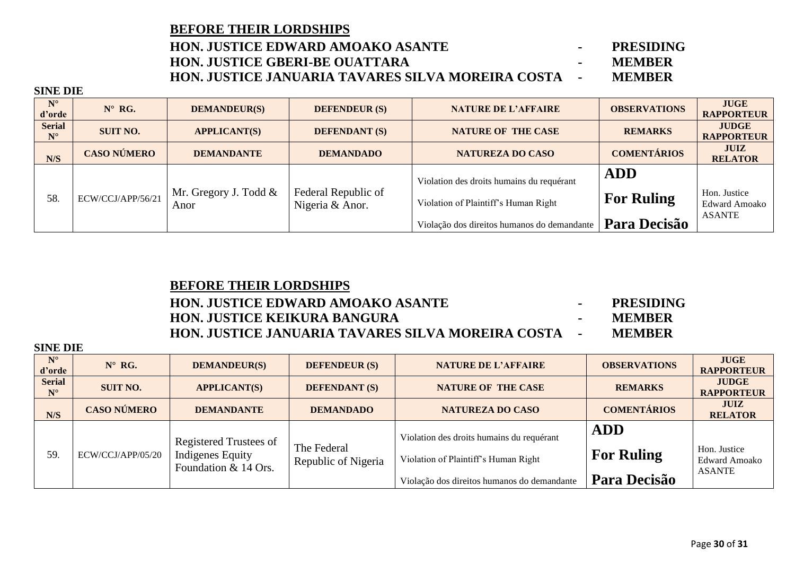| <b>BEFORE THEIR LORDSHIPS</b>                              |               |
|------------------------------------------------------------|---------------|
| <b>HON. JUSTICE EDWARD AMOAKO ASANTE</b>                   | PRESIDING     |
| <b>HON. JUSTICE GBERI-BE OUATTARA</b>                      | <b>MEMBER</b> |
| <b>HON. JUSTICE JANUARIA TAVARES SILVA MOREIRA COSTA -</b> | <b>MEMBER</b> |

**SINE DIE**

| $N^{\circ}$<br>d'orde        | $N^{\circ}$ RG.    | <b>DEMANDEUR(S)</b>           | <b>DEFENDEUR (S)</b>                   | <b>NATURE DE L'AFFAIRE</b>                                                                                                       | <b>OBSERVATIONS</b>                             | <b>JUGE</b><br><b>RAPPORTEUR</b>                      |
|------------------------------|--------------------|-------------------------------|----------------------------------------|----------------------------------------------------------------------------------------------------------------------------------|-------------------------------------------------|-------------------------------------------------------|
| <b>Serial</b><br>$N^{\circ}$ | <b>SUIT NO.</b>    | <b>APPLICANT(S)</b>           | <b>DEFENDANT</b> (S)                   | <b>NATURE OF THE CASE</b>                                                                                                        | <b>REMARKS</b>                                  | <b>JUDGE</b><br><b>RAPPORTEUR</b>                     |
| N/S                          | <b>CASO NÚMERO</b> | <b>DEMANDANTE</b>             | <b>DEMANDADO</b>                       | <b>NATUREZA DO CASO</b>                                                                                                          | <b>COMENTÁRIOS</b>                              | <b>JUIZ</b><br><b>RELATOR</b>                         |
| 58.                          | ECW/CCJ/APP/56/21  | Mr. Gregory J. Todd &<br>Anor | Federal Republic of<br>Nigeria & Anor. | Violation des droits humains du requérant<br>Violation of Plaintiff's Human Right<br>Violação dos direitos humanos do demandante | <b>ADD</b><br><b>For Ruling</b><br>Para Decisão | Hon. Justice<br><b>Edward Amoako</b><br><b>ASANTE</b> |

## **BEFORE THEIR LORDSHIPS HON. JUSTICE EDWARD AMOAKO ASANTE - PRESIDING HON. JUSTICE KEIKURA BANGURA - MEMBER HON. JUSTICE JANUARIA TAVARES SILVA MOREIRA COSTA - MEMBER**

| $N^{\circ}$<br>d'orde        | $N^{\circ}$ RG.    | <b>DEMANDEUR(S)</b>                                                       | <b>DEFENDEUR (S)</b>               | <b>NATURE DE L'AFFAIRE</b>                                                                                                       | <b>OBSERVATIONS</b>                             | <b>JUGE</b><br><b>RAPPORTEUR</b>                      |
|------------------------------|--------------------|---------------------------------------------------------------------------|------------------------------------|----------------------------------------------------------------------------------------------------------------------------------|-------------------------------------------------|-------------------------------------------------------|
| <b>Serial</b><br>$N^{\circ}$ | <b>SUIT NO.</b>    | <b>APPLICANT(S)</b>                                                       | <b>DEFENDANT (S)</b>               | <b>NATURE OF THE CASE</b>                                                                                                        | <b>REMARKS</b>                                  | <b>JUDGE</b><br><b>RAPPORTEUR</b>                     |
| N/S                          | <b>CASO NÚMERO</b> | <b>DEMANDANTE</b>                                                         | <b>DEMANDADO</b>                   | <b>NATUREZA DO CASO</b>                                                                                                          | <b>COMENTÁRIOS</b>                              | <b>JUIZ</b><br><b>RELATOR</b>                         |
| 59.                          | ECW/CCJ/APP/05/20  | Registered Trustees of<br><b>Indigenes Equity</b><br>Foundation & 14 Ors. | The Federal<br>Republic of Nigeria | Violation des droits humains du requérant<br>Violation of Plaintiff's Human Right<br>Violação dos direitos humanos do demandante | <b>ADD</b><br><b>For Ruling</b><br>Para Decisão | Hon. Justice<br><b>Edward Amoako</b><br><b>ASANTE</b> |